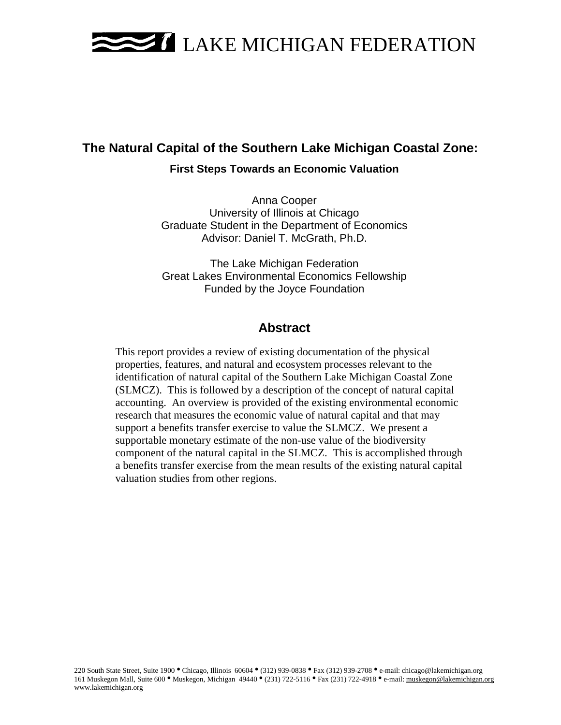

# **The Natural Capital of the Southern Lake Michigan Coastal Zone:**

### **First Steps Towards an Economic Valuation**

Anna Cooper University of Illinois at Chicago Graduate Student in the Department of Economics Advisor: Daniel T. McGrath, Ph.D.

The Lake Michigan Federation Great Lakes Environmental Economics Fellowship Funded by the Joyce Foundation

# **Abstract**

This report provides a review of existing documentation of the physical properties, features, and natural and ecosystem processes relevant to the identification of natural capital of the Southern Lake Michigan Coastal Zone (SLMCZ). This is followed by a description of the concept of natural capital accounting. An overview is provided of the existing environmental economic research that measures the economic value of natural capital and that may support a benefits transfer exercise to value the SLMCZ. We present a supportable monetary estimate of the non-use value of the biodiversity component of the natural capital in the SLMCZ. This is accomplished through a benefits transfer exercise from the mean results of the existing natural capital valuation studies from other regions.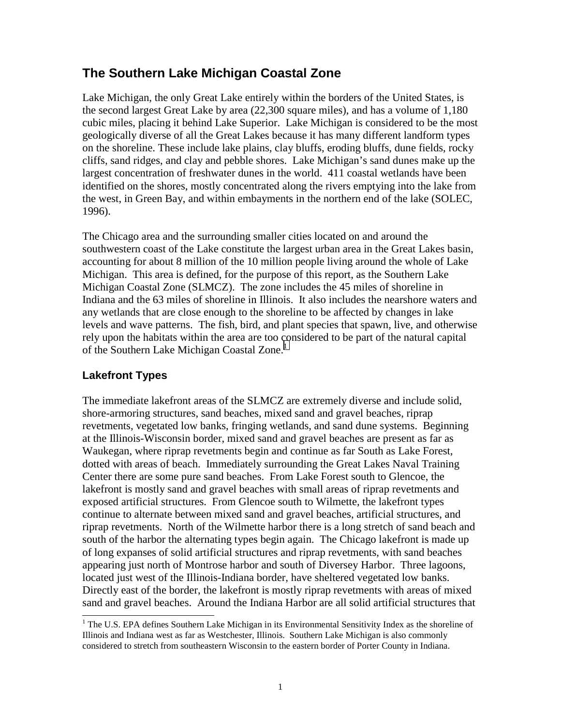# **The Southern Lake Michigan Coastal Zone**

Lake Michigan, the only Great Lake entirely within the borders of the United States, is the second largest Great Lake by area (22,300 square miles), and has a volume of 1,180 cubic miles, placing it behind Lake Superior. Lake Michigan is considered to be the most geologically diverse of all the Great Lakes because it has many different landform types on the shoreline. These include lake plains, clay bluffs, eroding bluffs, dune fields, rocky cliffs, sand ridges, and clay and pebble shores. Lake Michigan's sand dunes make up the largest concentration of freshwater dunes in the world. 411 coastal wetlands have been identified on the shores, mostly concentrated along the rivers emptying into the lake from the west, in Green Bay, and within embayments in the northern end of the lake (SOLEC, 1996).

The Chicago area and the surrounding smaller cities located on and around the southwestern coast of the Lake constitute the largest urban area in the Great Lakes basin, accounting for about 8 million of the 10 million people living around the whole of Lake Michigan. This area is defined, for the purpose of this report, as the Southern Lake Michigan Coastal Zone (SLMCZ). The zone includes the 45 miles of shoreline in Indiana and the 63 miles of shoreline in Illinois. It also includes the nearshore waters and any wetlands that are close enough to the shoreline to be affected by changes in lake levels and wave patterns. The fish, bird, and plant species that spawn, live, and otherwise rely upon the habitats within the area are too considered to be part of the natural capital of the Southern Lake Michigan Coastal Zone.<sup>1</sup>

# **Lakefront Types**

The immediate lakefront areas of the SLMCZ are extremely diverse and include solid, shore-armoring structures, sand beaches, mixed sand and gravel beaches, riprap revetments, vegetated low banks, fringing wetlands, and sand dune systems. Beginning at the Illinois-Wisconsin border, mixed sand and gravel beaches are present as far as Waukegan, where riprap revetments begin and continue as far South as Lake Forest, dotted with areas of beach. Immediately surrounding the Great Lakes Naval Training Center there are some pure sand beaches. From Lake Forest south to Glencoe, the lakefront is mostly sand and gravel beaches with small areas of riprap revetments and exposed artificial structures. From Glencoe south to Wilmette, the lakefront types continue to alternate between mixed sand and gravel beaches, artificial structures, and riprap revetments. North of the Wilmette harbor there is a long stretch of sand beach and south of the harbor the alternating types begin again. The Chicago lakefront is made up of long expanses of solid artificial structures and riprap revetments, with sand beaches appearing just north of Montrose harbor and south of Diversey Harbor. Three lagoons, located just west of the Illinois-Indiana border, have sheltered vegetated low banks. Directly east of the border, the lakefront is mostly riprap revetments with areas of mixed sand and gravel beaches. Around the Indiana Harbor are all solid artificial structures that

<sup>&</sup>lt;sup>1</sup> The U.S. EPA defines Southern Lake Michigan in its Environmental Sensitivity Index as the shoreline of Illinois and Indiana west as far as Westchester, Illinois. Southern Lake Michigan is also commonly considered to stretch from southeastern Wisconsin to the eastern border of Porter County in Indiana.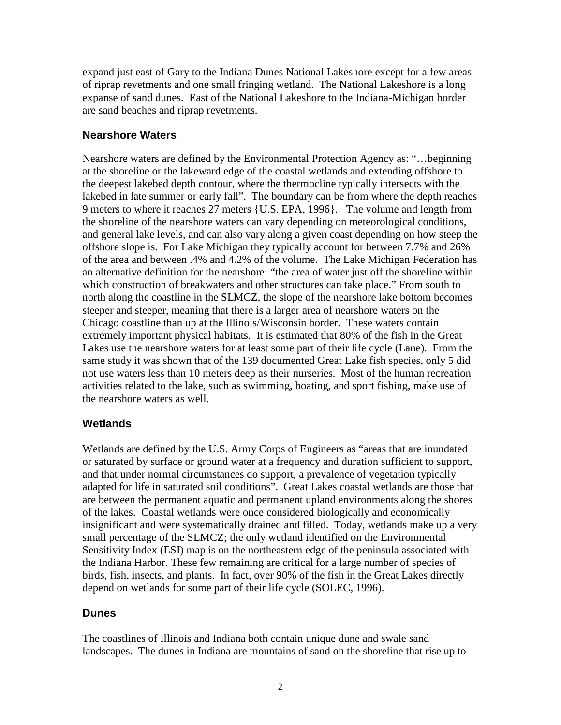expand just east of Gary to the Indiana Dunes National Lakeshore except for a few areas of riprap revetments and one small fringing wetland. The National Lakeshore is a long expanse of sand dunes. East of the National Lakeshore to the Indiana-Michigan border are sand beaches and riprap revetments.

### **Nearshore Waters**

Nearshore waters are defined by the Environmental Protection Agency as: "…beginning at the shoreline or the lakeward edge of the coastal wetlands and extending offshore to the deepest lakebed depth contour, where the thermocline typically intersects with the lakebed in late summer or early fall". The boundary can be from where the depth reaches 9 meters to where it reaches 27 meters {U.S. EPA, 1996}. The volume and length from the shoreline of the nearshore waters can vary depending on meteorological conditions, and general lake levels, and can also vary along a given coast depending on how steep the offshore slope is. For Lake Michigan they typically account for between 7.7% and 26% of the area and between .4% and 4.2% of the volume. The Lake Michigan Federation has an alternative definition for the nearshore: "the area of water just off the shoreline within which construction of breakwaters and other structures can take place." From south to north along the coastline in the SLMCZ, the slope of the nearshore lake bottom becomes steeper and steeper, meaning that there is a larger area of nearshore waters on the Chicago coastline than up at the Illinois/Wisconsin border. These waters contain extremely important physical habitats. It is estimated that 80% of the fish in the Great Lakes use the nearshore waters for at least some part of their life cycle (Lane). From the same study it was shown that of the 139 documented Great Lake fish species, only 5 did not use waters less than 10 meters deep as their nurseries. Most of the human recreation activities related to the lake, such as swimming, boating, and sport fishing, make use of the nearshore waters as well.

### **Wetlands**

Wetlands are defined by the U.S. Army Corps of Engineers as "areas that are inundated or saturated by surface or ground water at a frequency and duration sufficient to support, and that under normal circumstances do support, a prevalence of vegetation typically adapted for life in saturated soil conditions". Great Lakes coastal wetlands are those that are between the permanent aquatic and permanent upland environments along the shores of the lakes. Coastal wetlands were once considered biologically and economically insignificant and were systematically drained and filled. Today, wetlands make up a very small percentage of the SLMCZ; the only wetland identified on the Environmental Sensitivity Index (ESI) map is on the northeastern edge of the peninsula associated with the Indiana Harbor. These few remaining are critical for a large number of species of birds, fish, insects, and plants. In fact, over 90% of the fish in the Great Lakes directly depend on wetlands for some part of their life cycle (SOLEC, 1996).

### **Dunes**

The coastlines of Illinois and Indiana both contain unique dune and swale sand landscapes. The dunes in Indiana are mountains of sand on the shoreline that rise up to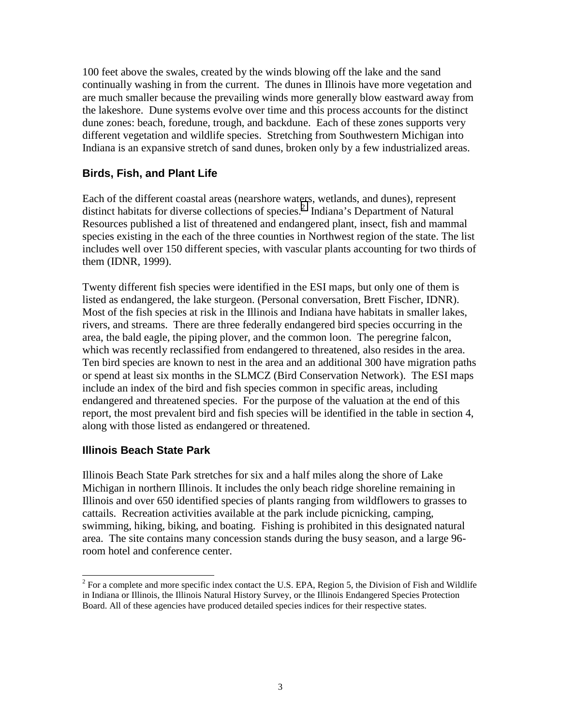100 feet above the swales, created by the winds blowing off the lake and the sand continually washing in from the current. The dunes in Illinois have more vegetation and are much smaller because the prevailing winds more generally blow eastward away from the lakeshore. Dune systems evolve over time and this process accounts for the distinct dune zones: beach, foredune, trough, and backdune. Each of these zones supports very different vegetation and wildlife species. Stretching from Southwestern Michigan into Indiana is an expansive stretch of sand dunes, broken only by a few industrialized areas.

### **Birds, Fish, and Plant Life**

Each of the different coastal areas (nearshore waters, wetlands, and dunes), represent distinct habitats for diverse collections of species. $^2$  Indiana's Department of Natural Resources published a list of threatened and endangered plant, insect, fish and mammal species existing in the each of the three counties in Northwest region of the state. The list includes well over 150 different species, with vascular plants accounting for two thirds of them (IDNR, 1999).

Twenty different fish species were identified in the ESI maps, but only one of them is listed as endangered, the lake sturgeon. (Personal conversation, Brett Fischer, IDNR). Most of the fish species at risk in the Illinois and Indiana have habitats in smaller lakes, rivers, and streams. There are three federally endangered bird species occurring in the area, the bald eagle, the piping plover, and the common loon. The peregrine falcon, which was recently reclassified from endangered to threatened, also resides in the area. Ten bird species are known to nest in the area and an additional 300 have migration paths or spend at least six months in the SLMCZ (Bird Conservation Network). The ESI maps include an index of the bird and fish species common in specific areas, including endangered and threatened species. For the purpose of the valuation at the end of this report, the most prevalent bird and fish species will be identified in the table in section 4, along with those listed as endangered or threatened.

### **Illinois Beach State Park**

Illinois Beach State Park stretches for six and a half miles along the shore of Lake Michigan in northern Illinois. It includes the only beach ridge shoreline remaining in Illinois and over 650 identified species of plants ranging from wildflowers to grasses to cattails. Recreation activities available at the park include picnicking, camping, swimming, hiking, biking, and boating. Fishing is prohibited in this designated natural area. The site contains many concession stands during the busy season, and a large 96 room hotel and conference center.

<sup>&</sup>lt;sup>2</sup> For a complete and more specific index contact the U.S. EPA, Region 5, the Division of Fish and Wildlife in Indiana or Illinois, the Illinois Natural History Survey, or the Illinois Endangered Species Protection Board. All of these agencies have produced detailed species indices for their respective states.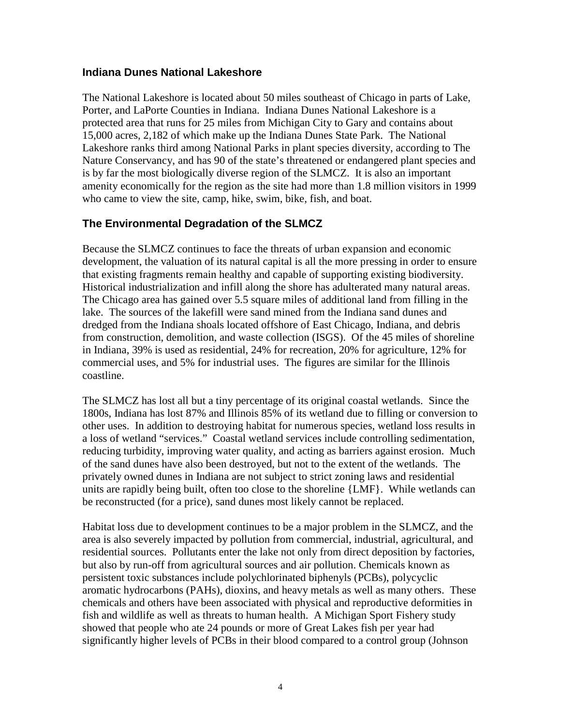#### **Indiana Dunes National Lakeshore**

The National Lakeshore is located about 50 miles southeast of Chicago in parts of Lake, Porter, and LaPorte Counties in Indiana. Indiana Dunes National Lakeshore is a protected area that runs for 25 miles from Michigan City to Gary and contains about 15,000 acres, 2,182 of which make up the Indiana Dunes State Park. The National Lakeshore ranks third among National Parks in plant species diversity, according to The Nature Conservancy, and has 90 of the state's threatened or endangered plant species and is by far the most biologically diverse region of the SLMCZ. It is also an important amenity economically for the region as the site had more than 1.8 million visitors in 1999 who came to view the site, camp, hike, swim, bike, fish, and boat.

### **The Environmental Degradation of the SLMCZ**

Because the SLMCZ continues to face the threats of urban expansion and economic development, the valuation of its natural capital is all the more pressing in order to ensure that existing fragments remain healthy and capable of supporting existing biodiversity. Historical industrialization and infill along the shore has adulterated many natural areas. The Chicago area has gained over 5.5 square miles of additional land from filling in the lake. The sources of the lakefill were sand mined from the Indiana sand dunes and dredged from the Indiana shoals located offshore of East Chicago, Indiana, and debris from construction, demolition, and waste collection (ISGS). Of the 45 miles of shoreline in Indiana, 39% is used as residential, 24% for recreation, 20% for agriculture, 12% for commercial uses, and 5% for industrial uses. The figures are similar for the Illinois coastline.

The SLMCZ has lost all but a tiny percentage of its original coastal wetlands. Since the 1800s, Indiana has lost 87% and Illinois 85% of its wetland due to filling or conversion to other uses. In addition to destroying habitat for numerous species, wetland loss results in a loss of wetland "services." Coastal wetland services include controlling sedimentation, reducing turbidity, improving water quality, and acting as barriers against erosion. Much of the sand dunes have also been destroyed, but not to the extent of the wetlands. The privately owned dunes in Indiana are not subject to strict zoning laws and residential units are rapidly being built, often too close to the shoreline {LMF}. While wetlands can be reconstructed (for a price), sand dunes most likely cannot be replaced.

Habitat loss due to development continues to be a major problem in the SLMCZ, and the area is also severely impacted by pollution from commercial, industrial, agricultural, and residential sources. Pollutants enter the lake not only from direct deposition by factories, but also by run-off from agricultural sources and air pollution. Chemicals known as persistent toxic substances include polychlorinated biphenyls (PCBs), polycyclic aromatic hydrocarbons (PAHs), dioxins, and heavy metals as well as many others. These chemicals and others have been associated with physical and reproductive deformities in fish and wildlife as well as threats to human health. A Michigan Sport Fishery study showed that people who ate 24 pounds or more of Great Lakes fish per year had significantly higher levels of PCBs in their blood compared to a control group (Johnson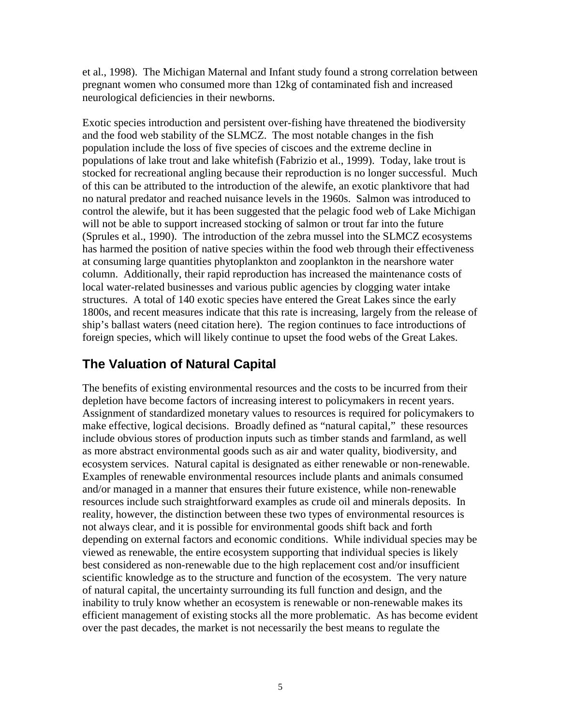et al., 1998). The Michigan Maternal and Infant study found a strong correlation between pregnant women who consumed more than 12kg of contaminated fish and increased neurological deficiencies in their newborns.

Exotic species introduction and persistent over-fishing have threatened the biodiversity and the food web stability of the SLMCZ. The most notable changes in the fish population include the loss of five species of ciscoes and the extreme decline in populations of lake trout and lake whitefish (Fabrizio et al., 1999). Today, lake trout is stocked for recreational angling because their reproduction is no longer successful. Much of this can be attributed to the introduction of the alewife, an exotic planktivore that had no natural predator and reached nuisance levels in the 1960s. Salmon was introduced to control the alewife, but it has been suggested that the pelagic food web of Lake Michigan will not be able to support increased stocking of salmon or trout far into the future (Sprules et al., 1990). The introduction of the zebra mussel into the SLMCZ ecosystems has harmed the position of native species within the food web through their effectiveness at consuming large quantities phytoplankton and zooplankton in the nearshore water column. Additionally, their rapid reproduction has increased the maintenance costs of local water-related businesses and various public agencies by clogging water intake structures. A total of 140 exotic species have entered the Great Lakes since the early 1800s, and recent measures indicate that this rate is increasing, largely from the release of ship's ballast waters (need citation here). The region continues to face introductions of foreign species, which will likely continue to upset the food webs of the Great Lakes.

# **The Valuation of Natural Capital**

The benefits of existing environmental resources and the costs to be incurred from their depletion have become factors of increasing interest to policymakers in recent years. Assignment of standardized monetary values to resources is required for policymakers to make effective, logical decisions. Broadly defined as "natural capital," these resources include obvious stores of production inputs such as timber stands and farmland, as well as more abstract environmental goods such as air and water quality, biodiversity, and ecosystem services. Natural capital is designated as either renewable or non-renewable. Examples of renewable environmental resources include plants and animals consumed and/or managed in a manner that ensures their future existence, while non-renewable resources include such straightforward examples as crude oil and minerals deposits. In reality, however, the distinction between these two types of environmental resources is not always clear, and it is possible for environmental goods shift back and forth depending on external factors and economic conditions. While individual species may be viewed as renewable, the entire ecosystem supporting that individual species is likely best considered as non-renewable due to the high replacement cost and/or insufficient scientific knowledge as to the structure and function of the ecosystem. The very nature of natural capital, the uncertainty surrounding its full function and design, and the inability to truly know whether an ecosystem is renewable or non-renewable makes its efficient management of existing stocks all the more problematic. As has become evident over the past decades, the market is not necessarily the best means to regulate the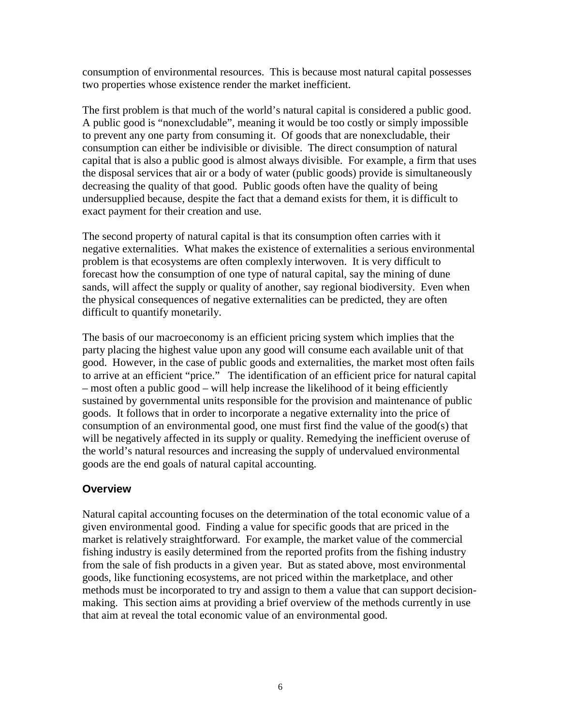consumption of environmental resources. This is because most natural capital possesses two properties whose existence render the market inefficient.

The first problem is that much of the world's natural capital is considered a public good. A public good is "nonexcludable", meaning it would be too costly or simply impossible to prevent any one party from consuming it. Of goods that are nonexcludable, their consumption can either be indivisible or divisible. The direct consumption of natural capital that is also a public good is almost always divisible. For example, a firm that uses the disposal services that air or a body of water (public goods) provide is simultaneously decreasing the quality of that good. Public goods often have the quality of being undersupplied because, despite the fact that a demand exists for them, it is difficult to exact payment for their creation and use.

The second property of natural capital is that its consumption often carries with it negative externalities. What makes the existence of externalities a serious environmental problem is that ecosystems are often complexly interwoven. It is very difficult to forecast how the consumption of one type of natural capital, say the mining of dune sands, will affect the supply or quality of another, say regional biodiversity. Even when the physical consequences of negative externalities can be predicted, they are often difficult to quantify monetarily.

The basis of our macroeconomy is an efficient pricing system which implies that the party placing the highest value upon any good will consume each available unit of that good. However, in the case of public goods and externalities, the market most often fails to arrive at an efficient "price." The identification of an efficient price for natural capital – most often a public good – will help increase the likelihood of it being efficiently sustained by governmental units responsible for the provision and maintenance of public goods. It follows that in order to incorporate a negative externality into the price of consumption of an environmental good, one must first find the value of the good(s) that will be negatively affected in its supply or quality. Remedying the inefficient overuse of the world's natural resources and increasing the supply of undervalued environmental goods are the end goals of natural capital accounting.

### **Overview**

Natural capital accounting focuses on the determination of the total economic value of a given environmental good. Finding a value for specific goods that are priced in the market is relatively straightforward. For example, the market value of the commercial fishing industry is easily determined from the reported profits from the fishing industry from the sale of fish products in a given year. But as stated above, most environmental goods, like functioning ecosystems, are not priced within the marketplace, and other methods must be incorporated to try and assign to them a value that can support decisionmaking. This section aims at providing a brief overview of the methods currently in use that aim at reveal the total economic value of an environmental good.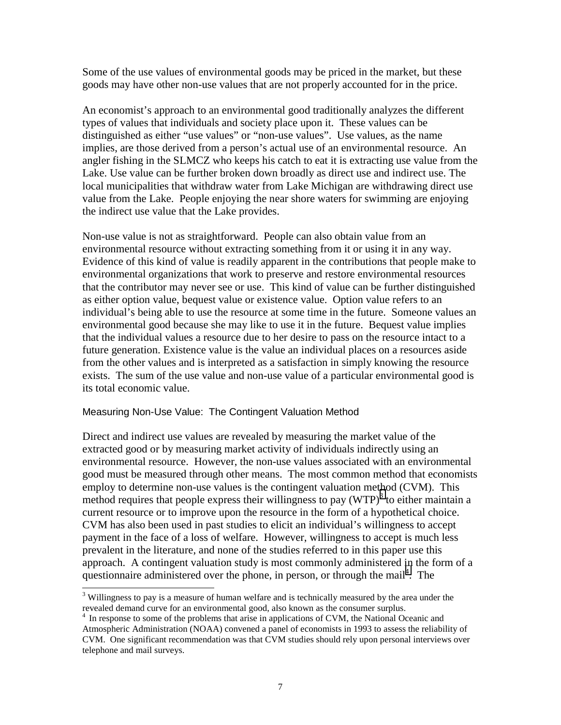Some of the use values of environmental goods may be priced in the market, but these goods may have other non-use values that are not properly accounted for in the price.

An economist's approach to an environmental good traditionally analyzes the different types of values that individuals and society place upon it. These values can be distinguished as either "use values" or "non-use values". Use values, as the name implies, are those derived from a person's actual use of an environmental resource. An angler fishing in the SLMCZ who keeps his catch to eat it is extracting use value from the Lake. Use value can be further broken down broadly as direct use and indirect use. The local municipalities that withdraw water from Lake Michigan are withdrawing direct use value from the Lake. People enjoying the near shore waters for swimming are enjoying the indirect use value that the Lake provides.

Non-use value is not as straightforward. People can also obtain value from an environmental resource without extracting something from it or using it in any way. Evidence of this kind of value is readily apparent in the contributions that people make to environmental organizations that work to preserve and restore environmental resources that the contributor may never see or use. This kind of value can be further distinguished as either option value, bequest value or existence value. Option value refers to an individual's being able to use the resource at some time in the future. Someone values an environmental good because she may like to use it in the future. Bequest value implies that the individual values a resource due to her desire to pass on the resource intact to a future generation. Existence value is the value an individual places on a resources aside from the other values and is interpreted as a satisfaction in simply knowing the resource exists. The sum of the use value and non-use value of a particular environmental good is its total economic value.

#### Measuring Non-Use Value: The Contingent Valuation Method

 $\overline{a}$ 

Direct and indirect use values are revealed by measuring the market value of the extracted good or by measuring market activity of individuals indirectly using an environmental resource. However, the non-use values associated with an environmental good must be measured through other means. The most common method that economists employ to determine non-use values is the contingent valuation method (CVM). This method requires that people express their willingness to pay  $(WTP)^3$  to either maintain a current resource or to improve upon the resource in the form of a hypothetical choice. CVM has also been used in past studies to elicit an individual's willingness to accept payment in the face of a loss of welfare. However, willingness to accept is much less prevalent in the literature, and none of the studies referred to in this paper use this approach. A contingent valuation study is most commonly administered in the form of a questionnaire administered over the phone, in person, or through the mail<sup>4</sup>. The

<sup>&</sup>lt;sup>3</sup> Willingness to pay is a measure of human welfare and is technically measured by the area under the revealed demand curve for an environmental good, also known as the consumer surplus.

<sup>&</sup>lt;sup>4</sup> In response to some of the problems that arise in applications of CVM, the National Oceanic and Atmospheric Administration (NOAA) convened a panel of economists in 1993 to assess the reliability of CVM. One significant recommendation was that CVM studies should rely upon personal interviews over telephone and mail surveys.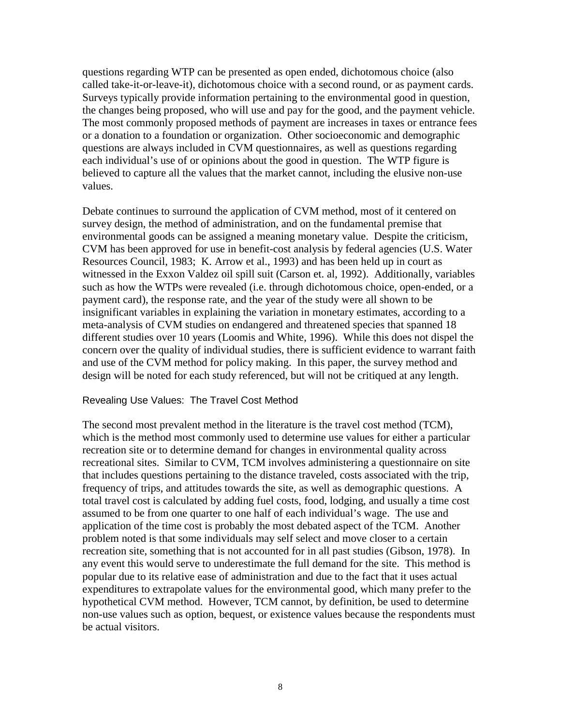questions regarding WTP can be presented as open ended, dichotomous choice (also called take-it-or-leave-it), dichotomous choice with a second round, or as payment cards. Surveys typically provide information pertaining to the environmental good in question, the changes being proposed, who will use and pay for the good, and the payment vehicle. The most commonly proposed methods of payment are increases in taxes or entrance fees or a donation to a foundation or organization. Other socioeconomic and demographic questions are always included in CVM questionnaires, as well as questions regarding each individual's use of or opinions about the good in question. The WTP figure is believed to capture all the values that the market cannot, including the elusive non-use values.

Debate continues to surround the application of CVM method, most of it centered on survey design, the method of administration, and on the fundamental premise that environmental goods can be assigned a meaning monetary value. Despite the criticism, CVM has been approved for use in benefit-cost analysis by federal agencies (U.S. Water Resources Council, 1983; K. Arrow et al., 1993) and has been held up in court as witnessed in the Exxon Valdez oil spill suit (Carson et. al, 1992). Additionally, variables such as how the WTPs were revealed (i.e. through dichotomous choice, open-ended, or a payment card), the response rate, and the year of the study were all shown to be insignificant variables in explaining the variation in monetary estimates, according to a meta-analysis of CVM studies on endangered and threatened species that spanned 18 different studies over 10 years (Loomis and White, 1996). While this does not dispel the concern over the quality of individual studies, there is sufficient evidence to warrant faith and use of the CVM method for policy making. In this paper, the survey method and design will be noted for each study referenced, but will not be critiqued at any length.

#### Revealing Use Values: The Travel Cost Method

The second most prevalent method in the literature is the travel cost method (TCM), which is the method most commonly used to determine use values for either a particular recreation site or to determine demand for changes in environmental quality across recreational sites. Similar to CVM, TCM involves administering a questionnaire on site that includes questions pertaining to the distance traveled, costs associated with the trip, frequency of trips, and attitudes towards the site, as well as demographic questions. A total travel cost is calculated by adding fuel costs, food, lodging, and usually a time cost assumed to be from one quarter to one half of each individual's wage. The use and application of the time cost is probably the most debated aspect of the TCM. Another problem noted is that some individuals may self select and move closer to a certain recreation site, something that is not accounted for in all past studies (Gibson, 1978). In any event this would serve to underestimate the full demand for the site. This method is popular due to its relative ease of administration and due to the fact that it uses actual expenditures to extrapolate values for the environmental good, which many prefer to the hypothetical CVM method. However, TCM cannot, by definition, be used to determine non-use values such as option, bequest, or existence values because the respondents must be actual visitors.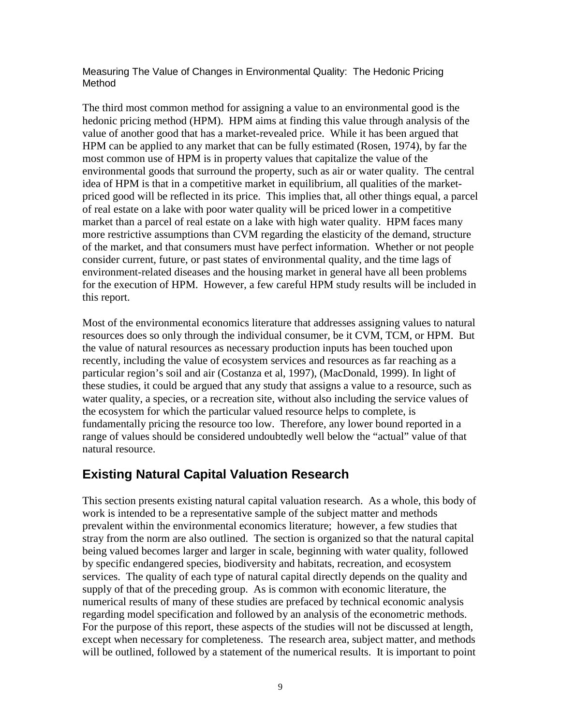Measuring The Value of Changes in Environmental Quality: The Hedonic Pricing Method

The third most common method for assigning a value to an environmental good is the hedonic pricing method (HPM). HPM aims at finding this value through analysis of the value of another good that has a market-revealed price. While it has been argued that HPM can be applied to any market that can be fully estimated (Rosen, 1974), by far the most common use of HPM is in property values that capitalize the value of the environmental goods that surround the property, such as air or water quality. The central idea of HPM is that in a competitive market in equilibrium, all qualities of the marketpriced good will be reflected in its price. This implies that, all other things equal, a parcel of real estate on a lake with poor water quality will be priced lower in a competitive market than a parcel of real estate on a lake with high water quality. HPM faces many more restrictive assumptions than CVM regarding the elasticity of the demand, structure of the market, and that consumers must have perfect information. Whether or not people consider current, future, or past states of environmental quality, and the time lags of environment-related diseases and the housing market in general have all been problems for the execution of HPM. However, a few careful HPM study results will be included in this report.

Most of the environmental economics literature that addresses assigning values to natural resources does so only through the individual consumer, be it CVM, TCM, or HPM. But the value of natural resources as necessary production inputs has been touched upon recently, including the value of ecosystem services and resources as far reaching as a particular region's soil and air (Costanza et al, 1997), (MacDonald, 1999). In light of these studies, it could be argued that any study that assigns a value to a resource, such as water quality, a species, or a recreation site, without also including the service values of the ecosystem for which the particular valued resource helps to complete, is fundamentally pricing the resource too low. Therefore, any lower bound reported in a range of values should be considered undoubtedly well below the "actual" value of that natural resource.

# **Existing Natural Capital Valuation Research**

This section presents existing natural capital valuation research. As a whole, this body of work is intended to be a representative sample of the subject matter and methods prevalent within the environmental economics literature; however, a few studies that stray from the norm are also outlined. The section is organized so that the natural capital being valued becomes larger and larger in scale, beginning with water quality, followed by specific endangered species, biodiversity and habitats, recreation, and ecosystem services. The quality of each type of natural capital directly depends on the quality and supply of that of the preceding group. As is common with economic literature, the numerical results of many of these studies are prefaced by technical economic analysis regarding model specification and followed by an analysis of the econometric methods. For the purpose of this report, these aspects of the studies will not be discussed at length, except when necessary for completeness. The research area, subject matter, and methods will be outlined, followed by a statement of the numerical results. It is important to point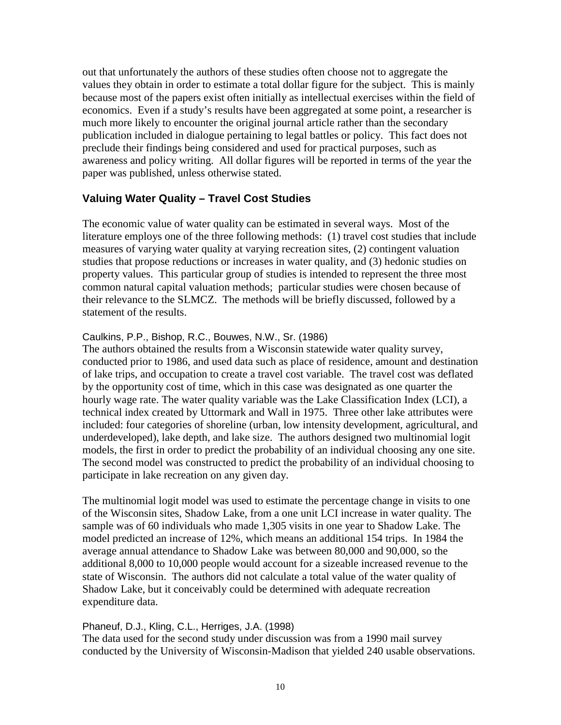out that unfortunately the authors of these studies often choose not to aggregate the values they obtain in order to estimate a total dollar figure for the subject. This is mainly because most of the papers exist often initially as intellectual exercises within the field of economics. Even if a study's results have been aggregated at some point, a researcher is much more likely to encounter the original journal article rather than the secondary publication included in dialogue pertaining to legal battles or policy. This fact does not preclude their findings being considered and used for practical purposes, such as awareness and policy writing. All dollar figures will be reported in terms of the year the paper was published, unless otherwise stated.

## **Valuing Water Quality – Travel Cost Studies**

The economic value of water quality can be estimated in several ways. Most of the literature employs one of the three following methods: (1) travel cost studies that include measures of varying water quality at varying recreation sites, (2) contingent valuation studies that propose reductions or increases in water quality, and (3) hedonic studies on property values. This particular group of studies is intended to represent the three most common natural capital valuation methods; particular studies were chosen because of their relevance to the SLMCZ. The methods will be briefly discussed, followed by a statement of the results.

#### Caulkins, P.P., Bishop, R.C., Bouwes, N.W., Sr. (1986)

The authors obtained the results from a Wisconsin statewide water quality survey, conducted prior to 1986, and used data such as place of residence, amount and destination of lake trips, and occupation to create a travel cost variable. The travel cost was deflated by the opportunity cost of time, which in this case was designated as one quarter the hourly wage rate. The water quality variable was the Lake Classification Index (LCI), a technical index created by Uttormark and Wall in 1975. Three other lake attributes were included: four categories of shoreline (urban, low intensity development, agricultural, and underdeveloped), lake depth, and lake size. The authors designed two multinomial logit models, the first in order to predict the probability of an individual choosing any one site. The second model was constructed to predict the probability of an individual choosing to participate in lake recreation on any given day.

The multinomial logit model was used to estimate the percentage change in visits to one of the Wisconsin sites, Shadow Lake, from a one unit LCI increase in water quality. The sample was of 60 individuals who made 1,305 visits in one year to Shadow Lake. The model predicted an increase of 12%, which means an additional 154 trips. In 1984 the average annual attendance to Shadow Lake was between 80,000 and 90,000, so the additional 8,000 to 10,000 people would account for a sizeable increased revenue to the state of Wisconsin. The authors did not calculate a total value of the water quality of Shadow Lake, but it conceivably could be determined with adequate recreation expenditure data.

### Phaneuf, D.J., Kling, C.L., Herriges, J.A. (1998)

The data used for the second study under discussion was from a 1990 mail survey conducted by the University of Wisconsin-Madison that yielded 240 usable observations.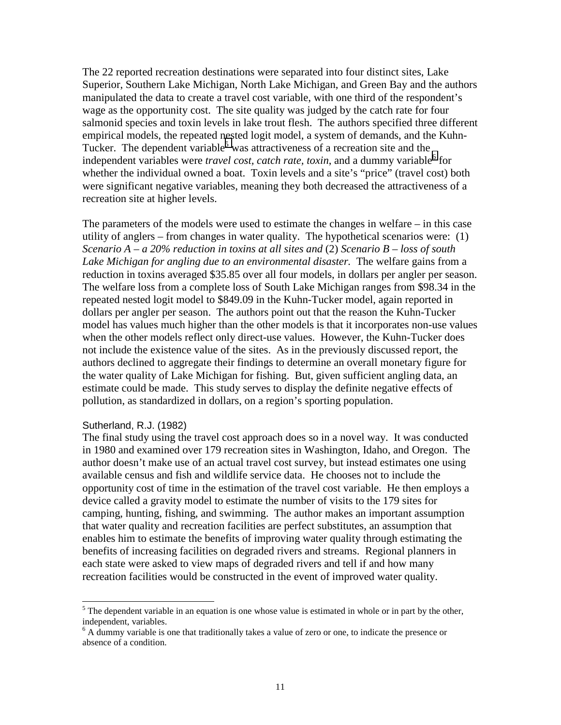The 22 reported recreation destinations were separated into four distinct sites, Lake Superior, Southern Lake Michigan, North Lake Michigan, and Green Bay and the authors manipulated the data to create a travel cost variable, with one third of the respondent's wage as the opportunity cost. The site quality was judged by the catch rate for four salmonid species and toxin levels in lake trout flesh. The authors specified three different empirical models, the repeated nested logit model, a system of demands, and the Kuhn-Tucker. The dependent variable<sup>5</sup> was attractiveness of a recreation site and the independent variables were *travel cost, catch rate, toxin*, and a dummy variable<sup>6</sup> for whether the individual owned a boat. Toxin levels and a site's "price" (travel cost) both were significant negative variables, meaning they both decreased the attractiveness of a recreation site at higher levels.

The parameters of the models were used to estimate the changes in welfare – in this case utility of anglers – from changes in water quality. The hypothetical scenarios were: (1) *Scenario A – a 20% reduction in toxins at all sites and* (2) *Scenario B – loss of south Lake Michigan for angling due to an environmental disaster.* The welfare gains from a reduction in toxins averaged \$35.85 over all four models, in dollars per angler per season. The welfare loss from a complete loss of South Lake Michigan ranges from \$98.34 in the repeated nested logit model to \$849.09 in the Kuhn-Tucker model, again reported in dollars per angler per season. The authors point out that the reason the Kuhn-Tucker model has values much higher than the other models is that it incorporates non-use values when the other models reflect only direct-use values. However, the Kuhn-Tucker does not include the existence value of the sites. As in the previously discussed report, the authors declined to aggregate their findings to determine an overall monetary figure for the water quality of Lake Michigan for fishing. But, given sufficient angling data, an estimate could be made. This study serves to display the definite negative effects of pollution, as standardized in dollars, on a region's sporting population.

#### Sutherland, R.J. (1982)

The final study using the travel cost approach does so in a novel way. It was conducted in 1980 and examined over 179 recreation sites in Washington, Idaho, and Oregon. The author doesn't make use of an actual travel cost survey, but instead estimates one using available census and fish and wildlife service data. He chooses not to include the opportunity cost of time in the estimation of the travel cost variable. He then employs a device called a gravity model to estimate the number of visits to the 179 sites for camping, hunting, fishing, and swimming. The author makes an important assumption that water quality and recreation facilities are perfect substitutes, an assumption that enables him to estimate the benefits of improving water quality through estimating the benefits of increasing facilities on degraded rivers and streams. Regional planners in each state were asked to view maps of degraded rivers and tell if and how many recreation facilities would be constructed in the event of improved water quality.

<sup>&</sup>lt;sup>5</sup> The dependent variable in an equation is one whose value is estimated in whole or in part by the other, independent, variables.

<sup>&</sup>lt;sup>6</sup> A dummy variable is one that traditionally takes a value of zero or one, to indicate the presence or absence of a condition.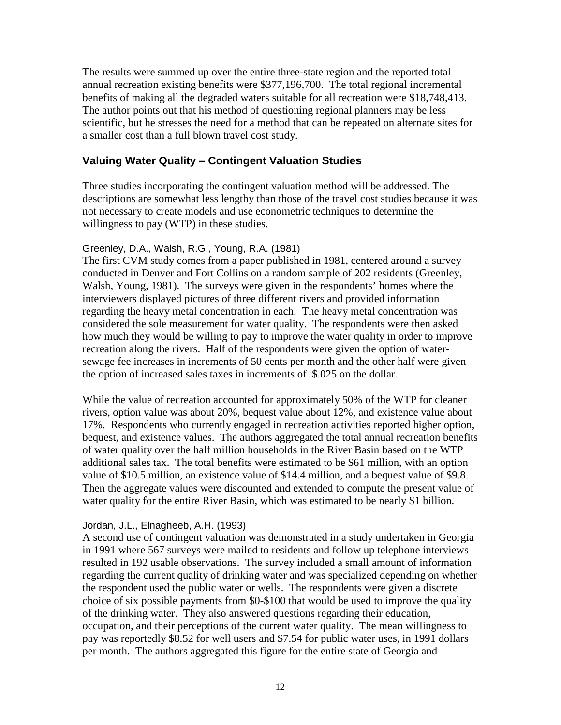The results were summed up over the entire three-state region and the reported total annual recreation existing benefits were \$377,196,700. The total regional incremental benefits of making all the degraded waters suitable for all recreation were \$18,748,413. The author points out that his method of questioning regional planners may be less scientific, but he stresses the need for a method that can be repeated on alternate sites for a smaller cost than a full blown travel cost study.

#### **Valuing Water Quality – Contingent Valuation Studies**

Three studies incorporating the contingent valuation method will be addressed. The descriptions are somewhat less lengthy than those of the travel cost studies because it was not necessary to create models and use econometric techniques to determine the willingness to pay (WTP) in these studies.

#### Greenley, D.A., Walsh, R.G., Young, R.A. (1981)

The first CVM study comes from a paper published in 1981, centered around a survey conducted in Denver and Fort Collins on a random sample of 202 residents (Greenley, Walsh, Young, 1981). The surveys were given in the respondents' homes where the interviewers displayed pictures of three different rivers and provided information regarding the heavy metal concentration in each. The heavy metal concentration was considered the sole measurement for water quality. The respondents were then asked how much they would be willing to pay to improve the water quality in order to improve recreation along the rivers. Half of the respondents were given the option of watersewage fee increases in increments of 50 cents per month and the other half were given the option of increased sales taxes in increments of \$.025 on the dollar*.* 

While the value of recreation accounted for approximately 50% of the WTP for cleaner rivers, option value was about 20%, bequest value about 12%, and existence value about 17%. Respondents who currently engaged in recreation activities reported higher option, bequest, and existence values. The authors aggregated the total annual recreation benefits of water quality over the half million households in the River Basin based on the WTP additional sales tax. The total benefits were estimated to be \$61 million, with an option value of \$10.5 million, an existence value of \$14.4 million, and a bequest value of \$9.8. Then the aggregate values were discounted and extended to compute the present value of water quality for the entire River Basin, which was estimated to be nearly \$1 billion.

#### Jordan, J.L., Elnagheeb, A.H. (1993)

A second use of contingent valuation was demonstrated in a study undertaken in Georgia in 1991 where 567 surveys were mailed to residents and follow up telephone interviews resulted in 192 usable observations. The survey included a small amount of information regarding the current quality of drinking water and was specialized depending on whether the respondent used the public water or wells. The respondents were given a discrete choice of six possible payments from \$0-\$100 that would be used to improve the quality of the drinking water. They also answered questions regarding their education, occupation, and their perceptions of the current water quality. The mean willingness to pay was reportedly \$8.52 for well users and \$7.54 for public water uses, in 1991 dollars per month. The authors aggregated this figure for the entire state of Georgia and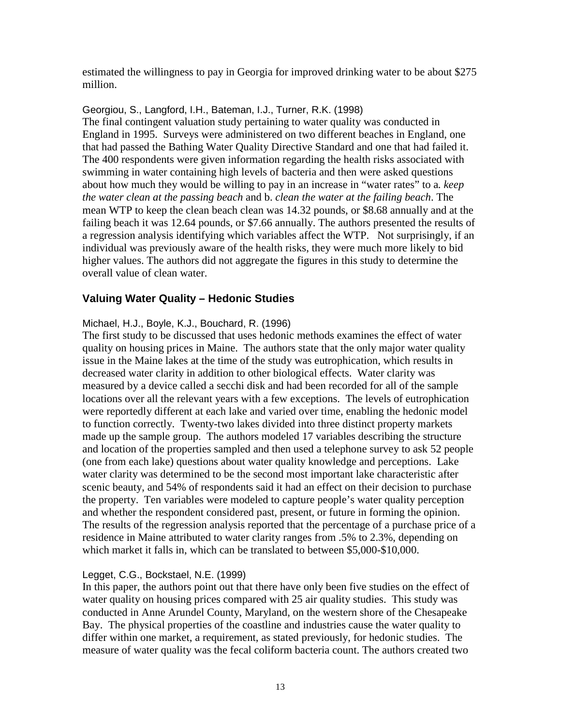estimated the willingness to pay in Georgia for improved drinking water to be about \$275 million.

Georgiou, S., Langford, I.H., Bateman, I.J., Turner, R.K. (1998) The final contingent valuation study pertaining to water quality was conducted in England in 1995. Surveys were administered on two different beaches in England, one that had passed the Bathing Water Quality Directive Standard and one that had failed it. The 400 respondents were given information regarding the health risks associated with swimming in water containing high levels of bacteria and then were asked questions about how much they would be willing to pay in an increase in "water rates" to a*. keep the water clean at the passing beach* and b. *clean the water at the failing beach*. The mean WTP to keep the clean beach clean was 14.32 pounds, or \$8.68 annually and at the failing beach it was 12.64 pounds, or \$7.66 annually. The authors presented the results of a regression analysis identifying which variables affect the WTP. Not surprisingly, if an individual was previously aware of the health risks, they were much more likely to bid higher values. The authors did not aggregate the figures in this study to determine the overall value of clean water.

### **Valuing Water Quality – Hedonic Studies**

#### Michael, H.J., Boyle, K.J., Bouchard, R. (1996)

The first study to be discussed that uses hedonic methods examines the effect of water quality on housing prices in Maine. The authors state that the only major water quality issue in the Maine lakes at the time of the study was eutrophication, which results in decreased water clarity in addition to other biological effects. Water clarity was measured by a device called a secchi disk and had been recorded for all of the sample locations over all the relevant years with a few exceptions. The levels of eutrophication were reportedly different at each lake and varied over time, enabling the hedonic model to function correctly. Twenty-two lakes divided into three distinct property markets made up the sample group. The authors modeled 17 variables describing the structure and location of the properties sampled and then used a telephone survey to ask 52 people (one from each lake) questions about water quality knowledge and perceptions. Lake water clarity was determined to be the second most important lake characteristic after scenic beauty, and 54% of respondents said it had an effect on their decision to purchase the property. Ten variables were modeled to capture people's water quality perception and whether the respondent considered past, present, or future in forming the opinion. The results of the regression analysis reported that the percentage of a purchase price of a residence in Maine attributed to water clarity ranges from .5% to 2.3%, depending on which market it falls in, which can be translated to between \$5,000-\$10,000.

### Legget, C.G., Bockstael, N.E. (1999)

In this paper, the authors point out that there have only been five studies on the effect of water quality on housing prices compared with 25 air quality studies. This study was conducted in Anne Arundel County, Maryland, on the western shore of the Chesapeake Bay. The physical properties of the coastline and industries cause the water quality to differ within one market, a requirement, as stated previously, for hedonic studies. The measure of water quality was the fecal coliform bacteria count. The authors created two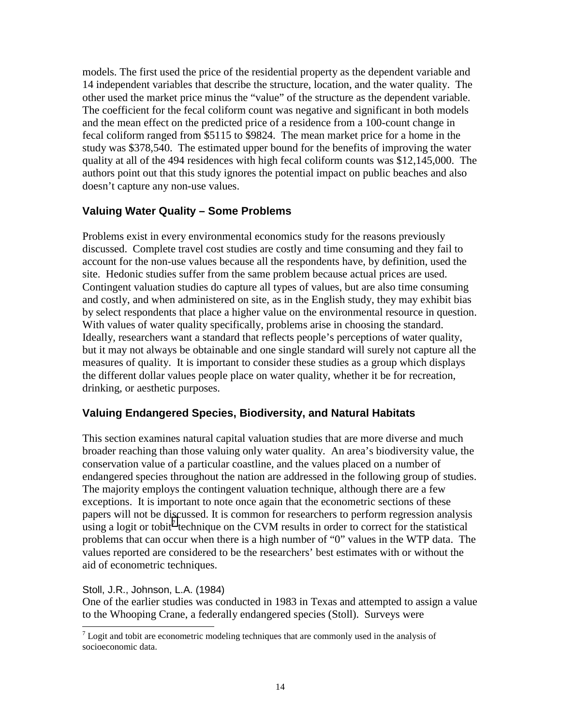models. The first used the price of the residential property as the dependent variable and 14 independent variables that describe the structure, location, and the water quality. The other used the market price minus the "value" of the structure as the dependent variable. The coefficient for the fecal coliform count was negative and significant in both models and the mean effect on the predicted price of a residence from a 100-count change in fecal coliform ranged from \$5115 to \$9824. The mean market price for a home in the study was \$378,540. The estimated upper bound for the benefits of improving the water quality at all of the 494 residences with high fecal coliform counts was \$12,145,000. The authors point out that this study ignores the potential impact on public beaches and also doesn't capture any non-use values.

## **Valuing Water Quality – Some Problems**

Problems exist in every environmental economics study for the reasons previously discussed. Complete travel cost studies are costly and time consuming and they fail to account for the non-use values because all the respondents have, by definition, used the site. Hedonic studies suffer from the same problem because actual prices are used. Contingent valuation studies do capture all types of values, but are also time consuming and costly, and when administered on site, as in the English study, they may exhibit bias by select respondents that place a higher value on the environmental resource in question. With values of water quality specifically, problems arise in choosing the standard. Ideally, researchers want a standard that reflects people's perceptions of water quality, but it may not always be obtainable and one single standard will surely not capture all the measures of quality. It is important to consider these studies as a group which displays the different dollar values people place on water quality, whether it be for recreation, drinking, or aesthetic purposes.

# **Valuing Endangered Species, Biodiversity, and Natural Habitats**

This section examines natural capital valuation studies that are more diverse and much broader reaching than those valuing only water quality. An area's biodiversity value, the conservation value of a particular coastline, and the values placed on a number of endangered species throughout the nation are addressed in the following group of studies. The majority employs the contingent valuation technique, although there are a few exceptions. It is important to note once again that the econometric sections of these papers will not be discussed. It is common for researchers to perform regression analysis  $\frac{1}{2}$  in a logit or tobit<sup>7</sup> technique on the CVM results in order to correct for the statistical problems that can occur when there is a high number of "0" values in the WTP data. The values reported are considered to be the researchers' best estimates with or without the aid of econometric techniques.

Stoll, J.R., Johnson, L.A. (1984)

 $\overline{\phantom{a}}$ 

One of the earlier studies was conducted in 1983 in Texas and attempted to assign a value to the Whooping Crane, a federally endangered species (Stoll). Surveys were

 $<sup>7</sup>$  Logit and tobit are econometric modeling techniques that are commonly used in the analysis of</sup> socioeconomic data.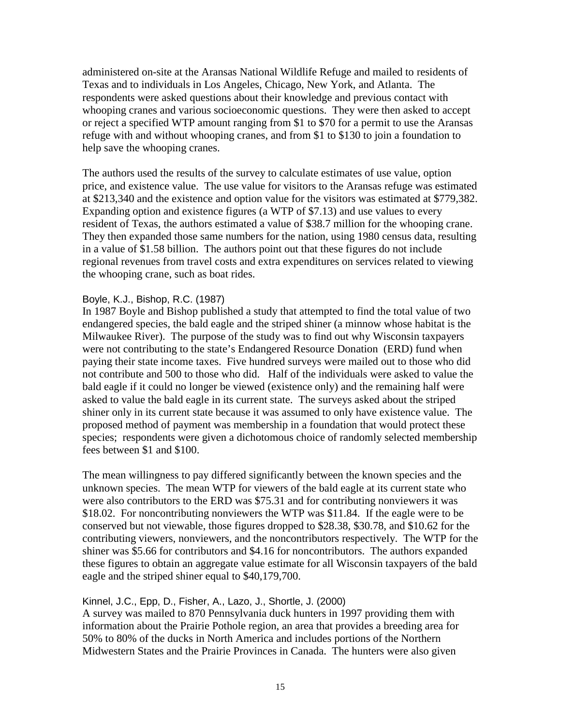administered on-site at the Aransas National Wildlife Refuge and mailed to residents of Texas and to individuals in Los Angeles, Chicago, New York, and Atlanta. The respondents were asked questions about their knowledge and previous contact with whooping cranes and various socioeconomic questions. They were then asked to accept or reject a specified WTP amount ranging from \$1 to \$70 for a permit to use the Aransas refuge with and without whooping cranes, and from \$1 to \$130 to join a foundation to help save the whooping cranes.

The authors used the results of the survey to calculate estimates of use value, option price, and existence value. The use value for visitors to the Aransas refuge was estimated at \$213,340 and the existence and option value for the visitors was estimated at \$779,382. Expanding option and existence figures (a WTP of \$7.13) and use values to every resident of Texas, the authors estimated a value of \$38.7 million for the whooping crane. They then expanded those same numbers for the nation, using 1980 census data, resulting in a value of \$1.58 billion. The authors point out that these figures do not include regional revenues from travel costs and extra expenditures on services related to viewing the whooping crane, such as boat rides.

#### Boyle, K.J., Bishop, R.C. (1987)

In 1987 Boyle and Bishop published a study that attempted to find the total value of two endangered species, the bald eagle and the striped shiner (a minnow whose habitat is the Milwaukee River). The purpose of the study was to find out why Wisconsin taxpayers were not contributing to the state's Endangered Resource Donation (ERD) fund when paying their state income taxes. Five hundred surveys were mailed out to those who did not contribute and 500 to those who did. Half of the individuals were asked to value the bald eagle if it could no longer be viewed (existence only) and the remaining half were asked to value the bald eagle in its current state. The surveys asked about the striped shiner only in its current state because it was assumed to only have existence value. The proposed method of payment was membership in a foundation that would protect these species; respondents were given a dichotomous choice of randomly selected membership fees between \$1 and \$100.

The mean willingness to pay differed significantly between the known species and the unknown species. The mean WTP for viewers of the bald eagle at its current state who were also contributors to the ERD was \$75.31 and for contributing nonviewers it was \$18.02. For noncontributing nonviewers the WTP was \$11.84. If the eagle were to be conserved but not viewable, those figures dropped to \$28.38, \$30.78, and \$10.62 for the contributing viewers, nonviewers, and the noncontributors respectively. The WTP for the shiner was \$5.66 for contributors and \$4.16 for noncontributors. The authors expanded these figures to obtain an aggregate value estimate for all Wisconsin taxpayers of the bald eagle and the striped shiner equal to \$40,179,700.

#### Kinnel, J.C., Epp, D., Fisher, A., Lazo, J., Shortle, J. (2000)

A survey was mailed to 870 Pennsylvania duck hunters in 1997 providing them with information about the Prairie Pothole region, an area that provides a breeding area for 50% to 80% of the ducks in North America and includes portions of the Northern Midwestern States and the Prairie Provinces in Canada. The hunters were also given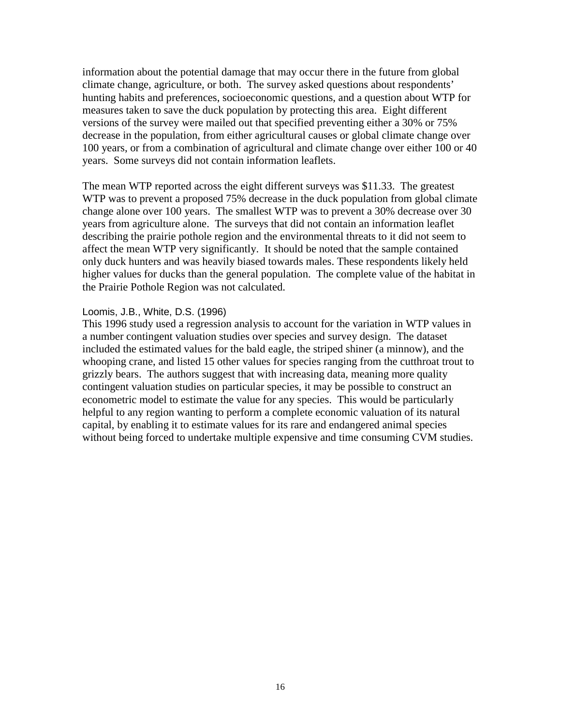information about the potential damage that may occur there in the future from global climate change, agriculture, or both. The survey asked questions about respondents' hunting habits and preferences, socioeconomic questions, and a question about WTP for measures taken to save the duck population by protecting this area. Eight different versions of the survey were mailed out that specified preventing either a 30% or 75% decrease in the population, from either agricultural causes or global climate change over 100 years, or from a combination of agricultural and climate change over either 100 or 40 years. Some surveys did not contain information leaflets.

The mean WTP reported across the eight different surveys was \$11.33. The greatest WTP was to prevent a proposed 75% decrease in the duck population from global climate change alone over 100 years. The smallest WTP was to prevent a 30% decrease over 30 years from agriculture alone. The surveys that did not contain an information leaflet describing the prairie pothole region and the environmental threats to it did not seem to affect the mean WTP very significantly. It should be noted that the sample contained only duck hunters and was heavily biased towards males. These respondents likely held higher values for ducks than the general population. The complete value of the habitat in the Prairie Pothole Region was not calculated.

#### Loomis, J.B., White, D.S. (1996)

This 1996 study used a regression analysis to account for the variation in WTP values in a number contingent valuation studies over species and survey design. The dataset included the estimated values for the bald eagle, the striped shiner (a minnow), and the whooping crane, and listed 15 other values for species ranging from the cutthroat trout to grizzly bears. The authors suggest that with increasing data, meaning more quality contingent valuation studies on particular species, it may be possible to construct an econometric model to estimate the value for any species. This would be particularly helpful to any region wanting to perform a complete economic valuation of its natural capital, by enabling it to estimate values for its rare and endangered animal species without being forced to undertake multiple expensive and time consuming CVM studies.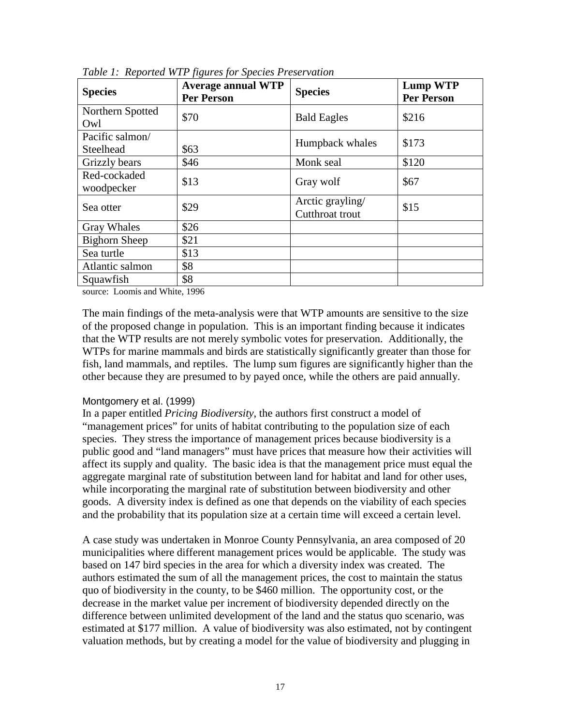| <b>Species</b>       | <b>Average annual WTP</b><br><b>Per Person</b> | <b>Species</b>     | <b>Lump WTP</b><br><b>Per Person</b> |  |
|----------------------|------------------------------------------------|--------------------|--------------------------------------|--|
| Northern Spotted     | \$70                                           | <b>Bald Eagles</b> | \$216                                |  |
| Owl                  |                                                |                    |                                      |  |
| Pacific salmon/      |                                                | Humpback whales    | \$173                                |  |
| Steelhead            | \$63                                           |                    |                                      |  |
| Grizzly bears        | \$46                                           | Monk seal          | \$120                                |  |
| Red-cockaded         | \$13                                           | Gray wolf          | \$67                                 |  |
| woodpecker           |                                                |                    |                                      |  |
| Sea otter            | \$29                                           | Arctic grayling/   | \$15                                 |  |
|                      |                                                | Cutthroat trout    |                                      |  |
| <b>Gray Whales</b>   | \$26                                           |                    |                                      |  |
| <b>Bighorn Sheep</b> | \$21                                           |                    |                                      |  |
| Sea turtle           | \$13                                           |                    |                                      |  |
| Atlantic salmon      | \$8                                            |                    |                                      |  |
| Squawfish            | \$8                                            |                    |                                      |  |

*Table 1: Reported WTP figures for Species Preservation* 

source: Loomis and White, 1996

The main findings of the meta-analysis were that WTP amounts are sensitive to the size of the proposed change in population. This is an important finding because it indicates that the WTP results are not merely symbolic votes for preservation. Additionally, the WTPs for marine mammals and birds are statistically significantly greater than those for fish, land mammals, and reptiles. The lump sum figures are significantly higher than the other because they are presumed to by payed once, while the others are paid annually.

#### Montgomery et al. (1999)

In a paper entitled *Pricing Biodiversity*, the authors first construct a model of "management prices" for units of habitat contributing to the population size of each species. They stress the importance of management prices because biodiversity is a public good and "land managers" must have prices that measure how their activities will affect its supply and quality. The basic idea is that the management price must equal the aggregate marginal rate of substitution between land for habitat and land for other uses, while incorporating the marginal rate of substitution between biodiversity and other goods. A diversity index is defined as one that depends on the viability of each species and the probability that its population size at a certain time will exceed a certain level.

A case study was undertaken in Monroe County Pennsylvania, an area composed of 20 municipalities where different management prices would be applicable. The study was based on 147 bird species in the area for which a diversity index was created. The authors estimated the sum of all the management prices, the cost to maintain the status quo of biodiversity in the county, to be \$460 million. The opportunity cost, or the decrease in the market value per increment of biodiversity depended directly on the difference between unlimited development of the land and the status quo scenario, was estimated at \$177 million. A value of biodiversity was also estimated, not by contingent valuation methods, but by creating a model for the value of biodiversity and plugging in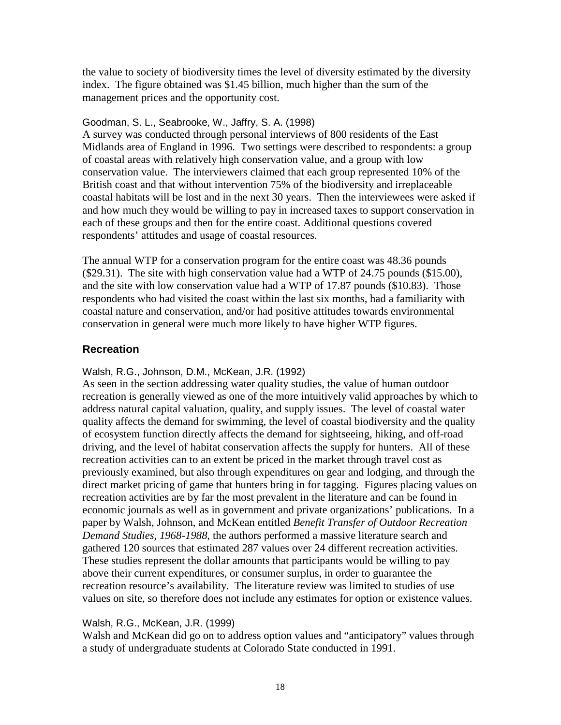the value to society of biodiversity times the level of diversity estimated by the diversity index. The figure obtained was \$1.45 billion, much higher than the sum of the management prices and the opportunity cost.

#### Goodman, S. L., Seabrooke, W., Jaffry, S. A. (1998)

A survey was conducted through personal interviews of 800 residents of the East Midlands area of England in 1996. Two settings were described to respondents: a group of coastal areas with relatively high conservation value, and a group with low conservation value. The interviewers claimed that each group represented 10% of the British coast and that without intervention 75% of the biodiversity and irreplaceable coastal habitats will be lost and in the next 30 years. Then the interviewees were asked if and how much they would be willing to pay in increased taxes to support conservation in each of these groups and then for the entire coast. Additional questions covered respondents' attitudes and usage of coastal resources.

The annual WTP for a conservation program for the entire coast was 48.36 pounds (\$29.31). The site with high conservation value had a WTP of 24.75 pounds (\$15.00), and the site with low conservation value had a WTP of 17.87 pounds (\$10.83). Those respondents who had visited the coast within the last six months, had a familiarity with coastal nature and conservation, and/or had positive attitudes towards environmental conservation in general were much more likely to have higher WTP figures.

### **Recreation**

#### Walsh, R.G., Johnson, D.M., McKean, J.R. (1992)

As seen in the section addressing water quality studies, the value of human outdoor recreation is generally viewed as one of the more intuitively valid approaches by which to address natural capital valuation, quality, and supply issues. The level of coastal water quality affects the demand for swimming, the level of coastal biodiversity and the quality of ecosystem function directly affects the demand for sightseeing, hiking, and off-road driving, and the level of habitat conservation affects the supply for hunters. All of these recreation activities can to an extent be priced in the market through travel cost as previously examined, but also through expenditures on gear and lodging, and through the direct market pricing of game that hunters bring in for tagging. Figures placing values on recreation activities are by far the most prevalent in the literature and can be found in economic journals as well as in government and private organizations' publications. In a paper by Walsh, Johnson, and McKean entitled *Benefit Transfer of Outdoor Recreation Demand Studies, 1968-1988*, the authors performed a massive literature search and gathered 120 sources that estimated 287 values over 24 different recreation activities. These studies represent the dollar amounts that participants would be willing to pay above their current expenditures, or consumer surplus, in order to guarantee the recreation resource's availability. The literature review was limited to studies of use values on site, so therefore does not include any estimates for option or existence values.

#### Walsh, R.G., McKean, J.R. (1999)

Walsh and McKean did go on to address option values and "anticipatory" values through a study of undergraduate students at Colorado State conducted in 1991.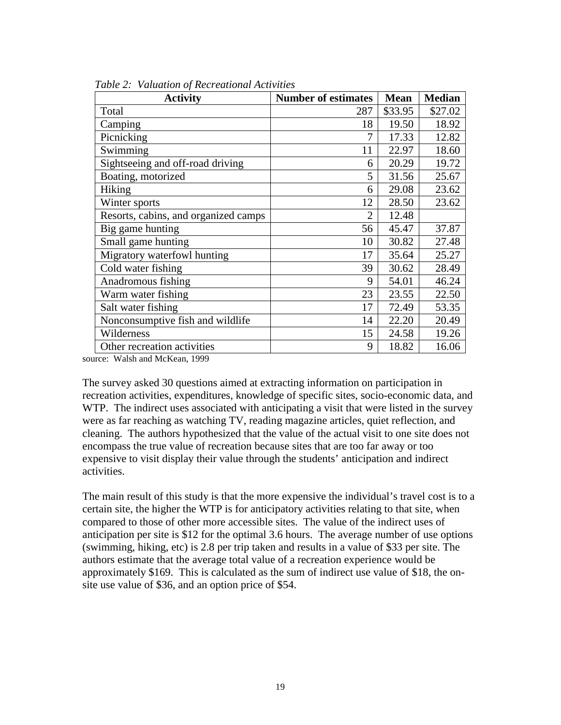| <b>Activity</b>                      | <b>Number of estimates</b> | <b>Mean</b> | <b>Median</b> |
|--------------------------------------|----------------------------|-------------|---------------|
| Total                                | 287                        | \$33.95     | \$27.02       |
| Camping                              | 18                         | 19.50       | 18.92         |
| Picnicking                           |                            | 17.33       | 12.82         |
| Swimming                             | 11                         | 22.97       | 18.60         |
| Sightseeing and off-road driving     | 6                          | 20.29       | 19.72         |
| Boating, motorized                   | 5                          | 31.56       | 25.67         |
| Hiking                               | 6                          | 29.08       | 23.62         |
| Winter sports                        | 12                         | 28.50       | 23.62         |
| Resorts, cabins, and organized camps | $\overline{2}$             | 12.48       |               |
| Big game hunting                     | 56                         | 45.47       | 37.87         |
| Small game hunting                   | 10                         | 30.82       | 27.48         |
| Migratory waterfowl hunting          | 17                         | 35.64       | 25.27         |
| Cold water fishing                   | 39                         | 30.62       | 28.49         |
| Anadromous fishing                   | 9                          | 54.01       | 46.24         |
| Warm water fishing                   | 23                         | 23.55       | 22.50         |
| Salt water fishing                   | 17                         | 72.49       | 53.35         |
| Nonconsumptive fish and wildlife     | 14                         | 22.20       | 20.49         |
| Wilderness                           | 15                         | 24.58       | 19.26         |
| Other recreation activities          | 9                          | 18.82       | 16.06         |

*Table 2: Valuation of Recreational Activities* 

source: Walsh and McKean, 1999

The survey asked 30 questions aimed at extracting information on participation in recreation activities, expenditures, knowledge of specific sites, socio-economic data, and WTP. The indirect uses associated with anticipating a visit that were listed in the survey were as far reaching as watching TV, reading magazine articles, quiet reflection, and cleaning. The authors hypothesized that the value of the actual visit to one site does not encompass the true value of recreation because sites that are too far away or too expensive to visit display their value through the students' anticipation and indirect activities.

The main result of this study is that the more expensive the individual's travel cost is to a certain site, the higher the WTP is for anticipatory activities relating to that site, when compared to those of other more accessible sites. The value of the indirect uses of anticipation per site is \$12 for the optimal 3.6 hours. The average number of use options (swimming, hiking, etc) is 2.8 per trip taken and results in a value of \$33 per site. The authors estimate that the average total value of a recreation experience would be approximately \$169. This is calculated as the sum of indirect use value of \$18, the onsite use value of \$36, and an option price of \$54.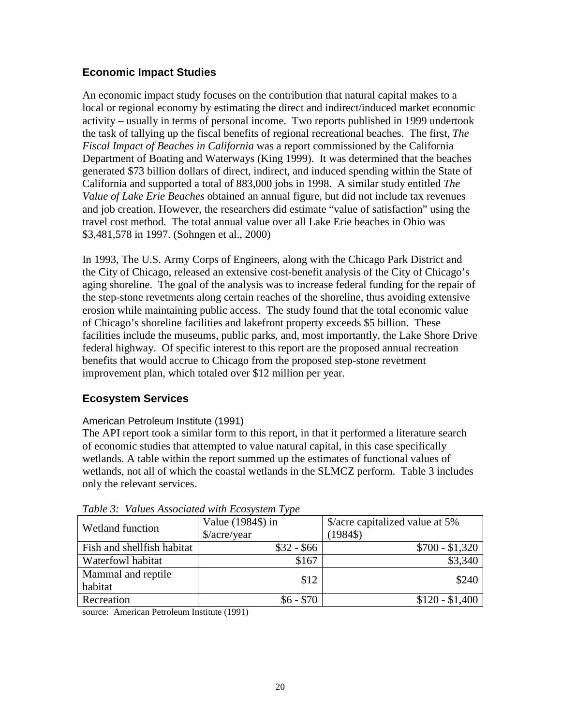# **Economic Impact Studies**

An economic impact study focuses on the contribution that natural capital makes to a local or regional economy by estimating the direct and indirect/induced market economic activity – usually in terms of personal income. Two reports published in 1999 undertook the task of tallying up the fiscal benefits of regional recreational beaches. The first, *The Fiscal Impact of Beaches in California* was a report commissioned by the California Department of Boating and Waterways (King 1999). It was determined that the beaches generated \$73 billion dollars of direct, indirect, and induced spending within the State of California and supported a total of 883,000 jobs in 1998. A similar study entitled *The Value of Lake Erie Beaches* obtained an annual figure, but did not include tax revenues and job creation. However, the researchers did estimate "value of satisfaction" using the travel cost method. The total annual value over all Lake Erie beaches in Ohio was \$3,481,578 in 1997. (Sohngen et al., 2000)

In 1993, The U.S. Army Corps of Engineers, along with the Chicago Park District and the City of Chicago, released an extensive cost-benefit analysis of the City of Chicago's aging shoreline. The goal of the analysis was to increase federal funding for the repair of the step-stone revetments along certain reaches of the shoreline, thus avoiding extensive erosion while maintaining public access. The study found that the total economic value of Chicago's shoreline facilities and lakefront property exceeds \$5 billion. These facilities include the museums, public parks, and, most importantly, the Lake Shore Drive federal highway. Of specific interest to this report are the proposed annual recreation benefits that would accrue to Chicago from the proposed step-stone revetment improvement plan, which totaled over \$12 million per year.

### **Ecosystem Services**

#### American Petroleum Institute (1991)

The API report took a similar form to this report, in that it performed a literature search of economic studies that attempted to value natural capital, in this case specifically wetlands. A table within the report summed up the estimates of functional values of wetlands, not all of which the coastal wetlands in the SLMCZ perform. Table 3 includes only the relevant services.

| <b>Wetland function</b>    | Value (1984\$) in<br>\$/acre/year | \$/acre capitalized value at 5%<br>$(1984\$ |  |
|----------------------------|-----------------------------------|---------------------------------------------|--|
| Fish and shellfish habitat | $$32 - $66$                       | $$700 - $1,320$                             |  |
| Waterfowl habitat          | \$167                             | \$3,340                                     |  |
| Mammal and reptile         | \$12                              | \$240                                       |  |
| habitat                    |                                   |                                             |  |
| Recreation                 | $$6 - $70$                        | $$120 - $1,400$                             |  |

*Table 3: Values Associated with Ecosystem Type* 

source: American Petroleum Institute (1991)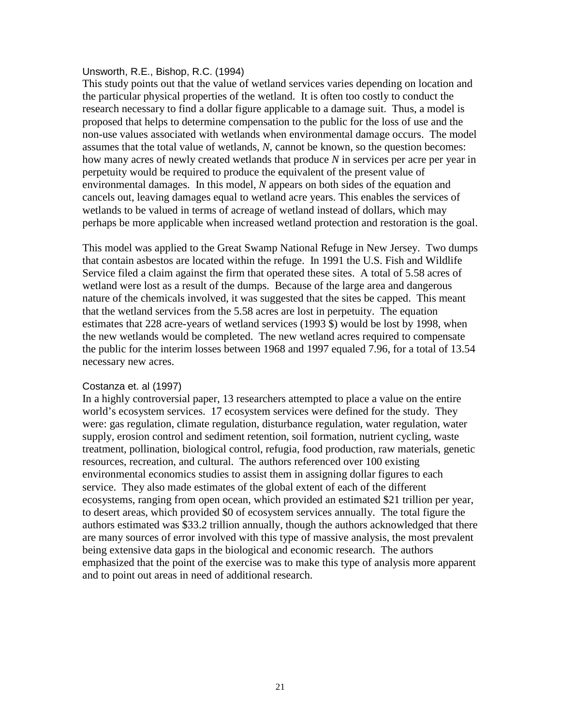#### Unsworth, R.E., Bishop, R.C. (1994)

This study points out that the value of wetland services varies depending on location and the particular physical properties of the wetland. It is often too costly to conduct the research necessary to find a dollar figure applicable to a damage suit. Thus, a model is proposed that helps to determine compensation to the public for the loss of use and the non-use values associated with wetlands when environmental damage occurs. The model assumes that the total value of wetlands, *N*, cannot be known, so the question becomes: how many acres of newly created wetlands that produce *N* in services per acre per year in perpetuity would be required to produce the equivalent of the present value of environmental damages. In this model, *N* appears on both sides of the equation and cancels out, leaving damages equal to wetland acre years. This enables the services of wetlands to be valued in terms of acreage of wetland instead of dollars, which may perhaps be more applicable when increased wetland protection and restoration is the goal.

This model was applied to the Great Swamp National Refuge in New Jersey. Two dumps that contain asbestos are located within the refuge. In 1991 the U.S. Fish and Wildlife Service filed a claim against the firm that operated these sites. A total of 5.58 acres of wetland were lost as a result of the dumps. Because of the large area and dangerous nature of the chemicals involved, it was suggested that the sites be capped. This meant that the wetland services from the 5.58 acres are lost in perpetuity. The equation estimates that 228 acre-years of wetland services (1993 \$) would be lost by 1998, when the new wetlands would be completed. The new wetland acres required to compensate the public for the interim losses between 1968 and 1997 equaled 7.96, for a total of 13.54 necessary new acres.

#### Costanza et. al (1997)

In a highly controversial paper, 13 researchers attempted to place a value on the entire world's ecosystem services. 17 ecosystem services were defined for the study. They were: gas regulation, climate regulation, disturbance regulation, water regulation, water supply, erosion control and sediment retention, soil formation, nutrient cycling, waste treatment, pollination, biological control, refugia, food production, raw materials, genetic resources, recreation, and cultural. The authors referenced over 100 existing environmental economics studies to assist them in assigning dollar figures to each service. They also made estimates of the global extent of each of the different ecosystems, ranging from open ocean, which provided an estimated \$21 trillion per year, to desert areas, which provided \$0 of ecosystem services annually. The total figure the authors estimated was \$33.2 trillion annually, though the authors acknowledged that there are many sources of error involved with this type of massive analysis, the most prevalent being extensive data gaps in the biological and economic research. The authors emphasized that the point of the exercise was to make this type of analysis more apparent and to point out areas in need of additional research.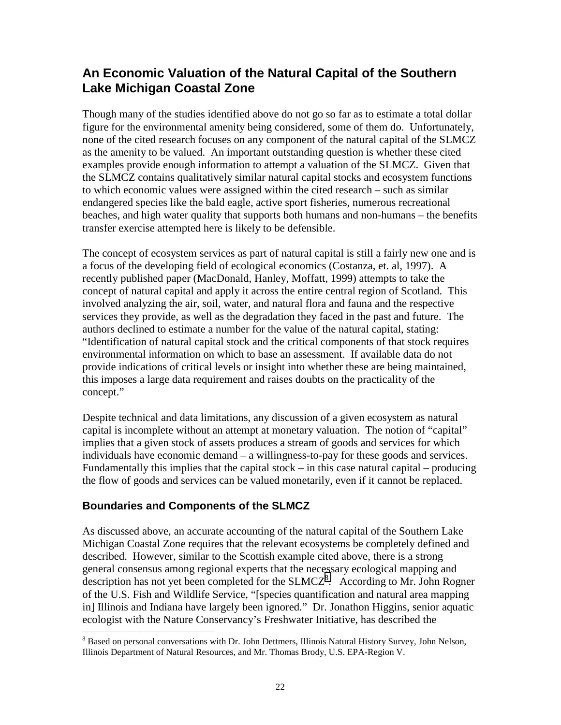# **An Economic Valuation of the Natural Capital of the Southern Lake Michigan Coastal Zone**

Though many of the studies identified above do not go so far as to estimate a total dollar figure for the environmental amenity being considered, some of them do. Unfortunately, none of the cited research focuses on any component of the natural capital of the SLMCZ as the amenity to be valued. An important outstanding question is whether these cited examples provide enough information to attempt a valuation of the SLMCZ. Given that the SLMCZ contains qualitatively similar natural capital stocks and ecosystem functions to which economic values were assigned within the cited research – such as similar endangered species like the bald eagle, active sport fisheries, numerous recreational beaches, and high water quality that supports both humans and non-humans – the benefits transfer exercise attempted here is likely to be defensible.

The concept of ecosystem services as part of natural capital is still a fairly new one and is a focus of the developing field of ecological economics (Costanza, et. al, 1997). A recently published paper (MacDonald, Hanley, Moffatt, 1999) attempts to take the concept of natural capital and apply it across the entire central region of Scotland. This involved analyzing the air, soil, water, and natural flora and fauna and the respective services they provide, as well as the degradation they faced in the past and future. The authors declined to estimate a number for the value of the natural capital, stating: "Identification of natural capital stock and the critical components of that stock requires environmental information on which to base an assessment. If available data do not provide indications of critical levels or insight into whether these are being maintained, this imposes a large data requirement and raises doubts on the practicality of the concept."

Despite technical and data limitations, any discussion of a given ecosystem as natural capital is incomplete without an attempt at monetary valuation. The notion of "capital" implies that a given stock of assets produces a stream of goods and services for which individuals have economic demand – a willingness-to-pay for these goods and services. Fundamentally this implies that the capital stock – in this case natural capital – producing the flow of goods and services can be valued monetarily, even if it cannot be replaced.

# **Boundaries and Components of the SLMCZ**

As discussed above, an accurate accounting of the natural capital of the Southern Lake Michigan Coastal Zone requires that the relevant ecosystems be completely defined and described. However, similar to the Scottish example cited above, there is a strong general consensus among regional experts that the necessary ecological mapping and  $\overline{\text{description}}$  has not yet been completed for the SLMCZ<sup>8</sup>. According to Mr. John Rogner of the U.S. Fish and Wildlife Service, "[species quantification and natural area mapping in] Illinois and Indiana have largely been ignored." Dr. Jonathon Higgins, senior aquatic ecologist with the Nature Conservancy's Freshwater Initiative, has described the

 $\overline{\phantom{a}}$ <sup>8</sup> Based on personal conversations with Dr. John Dettmers, Illinois Natural History Survey, John Nelson, Illinois Department of Natural Resources, and Mr. Thomas Brody, U.S. EPA-Region V.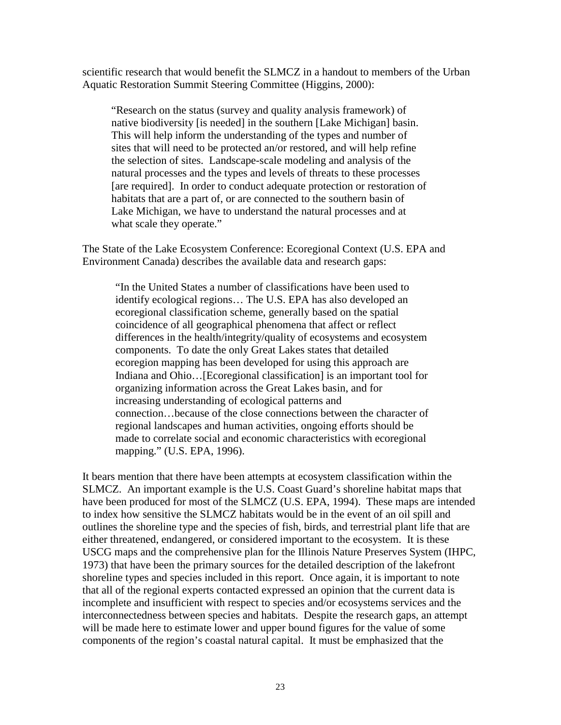scientific research that would benefit the SLMCZ in a handout to members of the Urban Aquatic Restoration Summit Steering Committee (Higgins, 2000):

"Research on the status (survey and quality analysis framework) of native biodiversity [is needed] in the southern [Lake Michigan] basin. This will help inform the understanding of the types and number of sites that will need to be protected an/or restored, and will help refine the selection of sites. Landscape-scale modeling and analysis of the natural processes and the types and levels of threats to these processes [are required]. In order to conduct adequate protection or restoration of habitats that are a part of, or are connected to the southern basin of Lake Michigan, we have to understand the natural processes and at what scale they operate."

The State of the Lake Ecosystem Conference: Ecoregional Context (U.S. EPA and Environment Canada) describes the available data and research gaps:

"In the United States a number of classifications have been used to identify ecological regions… The U.S. EPA has also developed an ecoregional classification scheme, generally based on the spatial coincidence of all geographical phenomena that affect or reflect differences in the health/integrity/quality of ecosystems and ecosystem components. To date the only Great Lakes states that detailed ecoregion mapping has been developed for using this approach are Indiana and Ohio…[Ecoregional classification] is an important tool for organizing information across the Great Lakes basin, and for increasing understanding of ecological patterns and connection…because of the close connections between the character of regional landscapes and human activities, ongoing efforts should be made to correlate social and economic characteristics with ecoregional mapping." (U.S. EPA, 1996).

It bears mention that there have been attempts at ecosystem classification within the SLMCZ. An important example is the U.S. Coast Guard's shoreline habitat maps that have been produced for most of the SLMCZ (U.S. EPA, 1994). These maps are intended to index how sensitive the SLMCZ habitats would be in the event of an oil spill and outlines the shoreline type and the species of fish, birds, and terrestrial plant life that are either threatened, endangered, or considered important to the ecosystem. It is these USCG maps and the comprehensive plan for the Illinois Nature Preserves System (IHPC, 1973) that have been the primary sources for the detailed description of the lakefront shoreline types and species included in this report. Once again, it is important to note that all of the regional experts contacted expressed an opinion that the current data is incomplete and insufficient with respect to species and/or ecosystems services and the interconnectedness between species and habitats. Despite the research gaps, an attempt will be made here to estimate lower and upper bound figures for the value of some components of the region's coastal natural capital. It must be emphasized that the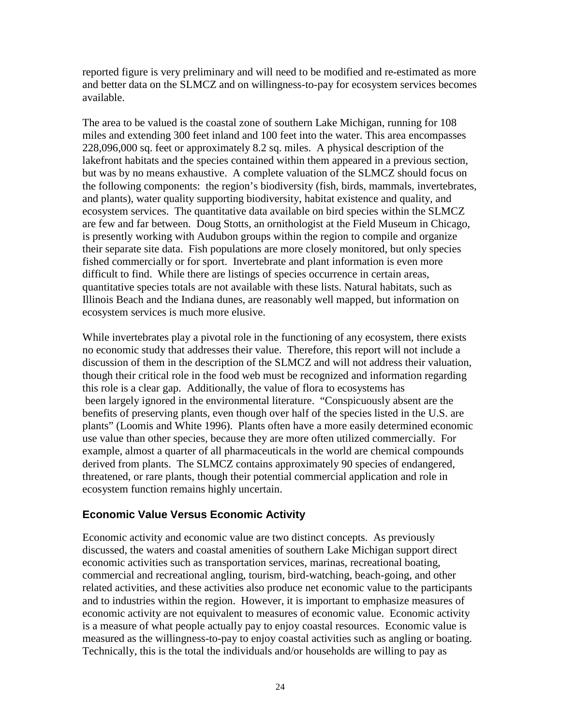reported figure is very preliminary and will need to be modified and re-estimated as more and better data on the SLMCZ and on willingness-to-pay for ecosystem services becomes available.

The area to be valued is the coastal zone of southern Lake Michigan, running for 108 miles and extending 300 feet inland and 100 feet into the water. This area encompasses 228,096,000 sq. feet or approximately 8.2 sq. miles. A physical description of the lakefront habitats and the species contained within them appeared in a previous section, but was by no means exhaustive. A complete valuation of the SLMCZ should focus on the following components: the region's biodiversity (fish, birds, mammals, invertebrates, and plants), water quality supporting biodiversity, habitat existence and quality, and ecosystem services. The quantitative data available on bird species within the SLMCZ are few and far between. Doug Stotts, an ornithologist at the Field Museum in Chicago, is presently working with Audubon groups within the region to compile and organize their separate site data. Fish populations are more closely monitored, but only species fished commercially or for sport. Invertebrate and plant information is even more difficult to find. While there are listings of species occurrence in certain areas, quantitative species totals are not available with these lists. Natural habitats, such as Illinois Beach and the Indiana dunes, are reasonably well mapped, but information on ecosystem services is much more elusive.

While invertebrates play a pivotal role in the functioning of any ecosystem, there exists no economic study that addresses their value. Therefore, this report will not include a discussion of them in the description of the SLMCZ and will not address their valuation, though their critical role in the food web must be recognized and information regarding this role is a clear gap. Additionally, the value of flora to ecosystems has been largely ignored in the environmental literature. "Conspicuously absent are the benefits of preserving plants, even though over half of the species listed in the U.S. are plants" (Loomis and White 1996). Plants often have a more easily determined economic use value than other species, because they are more often utilized commercially. For example, almost a quarter of all pharmaceuticals in the world are chemical compounds derived from plants. The SLMCZ contains approximately 90 species of endangered, threatened, or rare plants, though their potential commercial application and role in ecosystem function remains highly uncertain.

### **Economic Value Versus Economic Activity**

Economic activity and economic value are two distinct concepts. As previously discussed, the waters and coastal amenities of southern Lake Michigan support direct economic activities such as transportation services, marinas, recreational boating, commercial and recreational angling, tourism, bird-watching, beach-going, and other related activities, and these activities also produce net economic value to the participants and to industries within the region. However, it is important to emphasize measures of economic activity are not equivalent to measures of economic value. Economic activity is a measure of what people actually pay to enjoy coastal resources. Economic value is measured as the willingness-to-pay to enjoy coastal activities such as angling or boating. Technically, this is the total the individuals and/or households are willing to pay as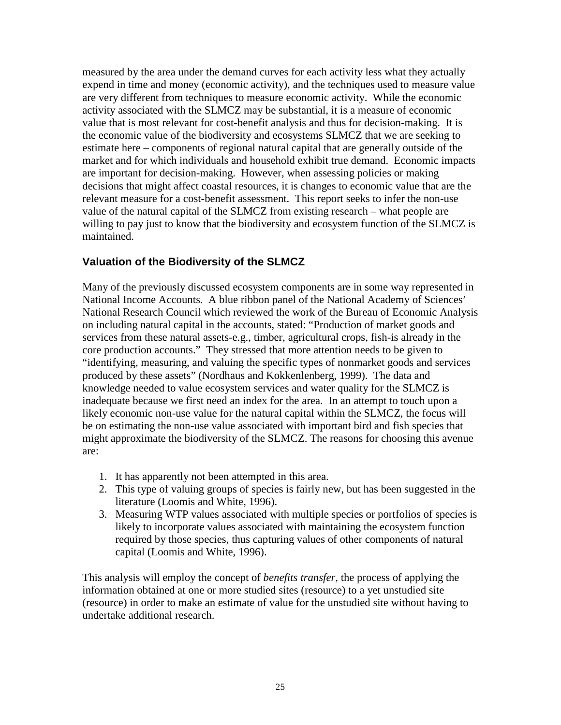measured by the area under the demand curves for each activity less what they actually expend in time and money (economic activity), and the techniques used to measure value are very different from techniques to measure economic activity. While the economic activity associated with the SLMCZ may be substantial, it is a measure of economic value that is most relevant for cost-benefit analysis and thus for decision-making. It is the economic value of the biodiversity and ecosystems SLMCZ that we are seeking to estimate here – components of regional natural capital that are generally outside of the market and for which individuals and household exhibit true demand. Economic impacts are important for decision-making. However, when assessing policies or making decisions that might affect coastal resources, it is changes to economic value that are the relevant measure for a cost-benefit assessment. This report seeks to infer the non-use value of the natural capital of the SLMCZ from existing research – what people are willing to pay just to know that the biodiversity and ecosystem function of the SLMCZ is maintained.

# **Valuation of the Biodiversity of the SLMCZ**

Many of the previously discussed ecosystem components are in some way represented in National Income Accounts. A blue ribbon panel of the National Academy of Sciences' National Research Council which reviewed the work of the Bureau of Economic Analysis on including natural capital in the accounts, stated: "Production of market goods and services from these natural assets-e.g., timber, agricultural crops, fish-is already in the core production accounts." They stressed that more attention needs to be given to "identifying, measuring, and valuing the specific types of nonmarket goods and services produced by these assets" (Nordhaus and Kokkenlenberg, 1999). The data and knowledge needed to value ecosystem services and water quality for the SLMCZ is inadequate because we first need an index for the area. In an attempt to touch upon a likely economic non-use value for the natural capital within the SLMCZ, the focus will be on estimating the non-use value associated with important bird and fish species that might approximate the biodiversity of the SLMCZ. The reasons for choosing this avenue are:

- 1. It has apparently not been attempted in this area.
- 2. This type of valuing groups of species is fairly new, but has been suggested in the literature (Loomis and White, 1996).
- 3. Measuring WTP values associated with multiple species or portfolios of species is likely to incorporate values associated with maintaining the ecosystem function required by those species, thus capturing values of other components of natural capital (Loomis and White, 1996).

This analysis will employ the concept of *benefits transfer,* the process of applying the information obtained at one or more studied sites (resource) to a yet unstudied site (resource) in order to make an estimate of value for the unstudied site without having to undertake additional research.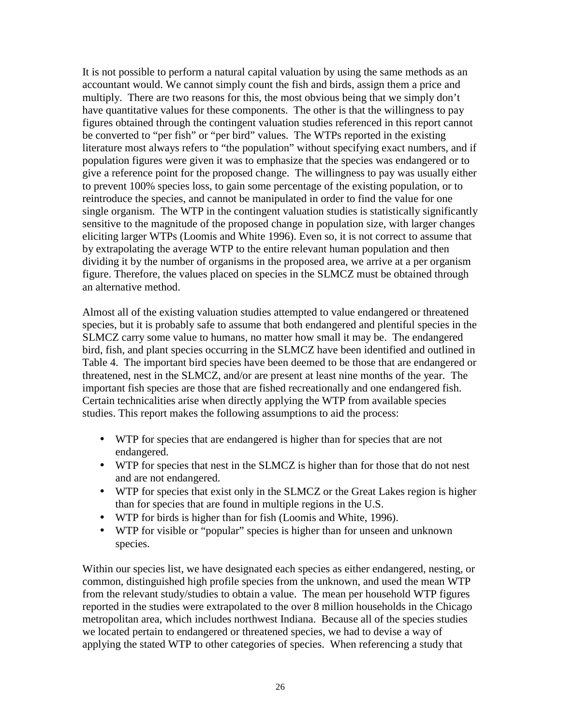It is not possible to perform a natural capital valuation by using the same methods as an accountant would. We cannot simply count the fish and birds, assign them a price and multiply. There are two reasons for this, the most obvious being that we simply don't have quantitative values for these components. The other is that the willingness to pay figures obtained through the contingent valuation studies referenced in this report cannot be converted to "per fish" or "per bird" values. The WTPs reported in the existing literature most always refers to "the population" without specifying exact numbers, and if population figures were given it was to emphasize that the species was endangered or to give a reference point for the proposed change. The willingness to pay was usually either to prevent 100% species loss, to gain some percentage of the existing population, or to reintroduce the species, and cannot be manipulated in order to find the value for one single organism. The WTP in the contingent valuation studies is statistically significantly sensitive to the magnitude of the proposed change in population size, with larger changes eliciting larger WTPs (Loomis and White 1996). Even so, it is not correct to assume that by extrapolating the average WTP to the entire relevant human population and then dividing it by the number of organisms in the proposed area, we arrive at a per organism figure. Therefore, the values placed on species in the SLMCZ must be obtained through an alternative method.

Almost all of the existing valuation studies attempted to value endangered or threatened species, but it is probably safe to assume that both endangered and plentiful species in the SLMCZ carry some value to humans, no matter how small it may be. The endangered bird, fish, and plant species occurring in the SLMCZ have been identified and outlined in Table 4. The important bird species have been deemed to be those that are endangered or threatened, nest in the SLMCZ, and/or are present at least nine months of the year. The important fish species are those that are fished recreationally and one endangered fish. Certain technicalities arise when directly applying the WTP from available species studies. This report makes the following assumptions to aid the process:

- WTP for species that are endangered is higher than for species that are not endangered.
- WTP for species that nest in the SLMCZ is higher than for those that do not nest and are not endangered.
- WTP for species that exist only in the SLMCZ or the Great Lakes region is higher than for species that are found in multiple regions in the U.S.
- WTP for birds is higher than for fish (Loomis and White, 1996).
- WTP for visible or "popular" species is higher than for unseen and unknown species.

Within our species list, we have designated each species as either endangered, nesting, or common, distinguished high profile species from the unknown, and used the mean WTP from the relevant study/studies to obtain a value. The mean per household WTP figures reported in the studies were extrapolated to the over 8 million households in the Chicago metropolitan area, which includes northwest Indiana. Because all of the species studies we located pertain to endangered or threatened species, we had to devise a way of applying the stated WTP to other categories of species. When referencing a study that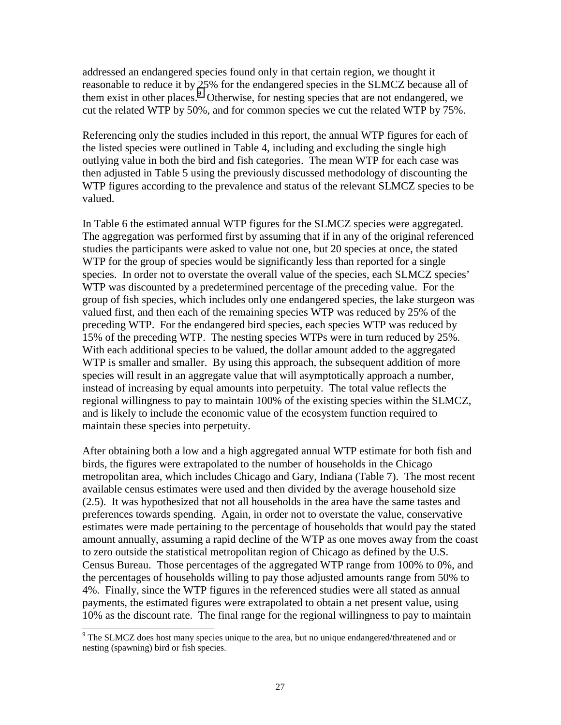addressed an endangered species found only in that certain region, we thought it reasonable to reduce it by 25% for the endangered species in the SLMCZ because all of them exist in other places.<sup>9</sup> Otherwise, for nesting species that are not endangered, we cut the related WTP by 50%, and for common species we cut the related WTP by 75%.

Referencing only the studies included in this report, the annual WTP figures for each of the listed species were outlined in Table 4, including and excluding the single high outlying value in both the bird and fish categories. The mean WTP for each case was then adjusted in Table 5 using the previously discussed methodology of discounting the WTP figures according to the prevalence and status of the relevant SLMCZ species to be valued.

In Table 6 the estimated annual WTP figures for the SLMCZ species were aggregated. The aggregation was performed first by assuming that if in any of the original referenced studies the participants were asked to value not one, but 20 species at once, the stated WTP for the group of species would be significantly less than reported for a single species. In order not to overstate the overall value of the species, each SLMCZ species' WTP was discounted by a predetermined percentage of the preceding value. For the group of fish species, which includes only one endangered species, the lake sturgeon was valued first, and then each of the remaining species WTP was reduced by 25% of the preceding WTP. For the endangered bird species, each species WTP was reduced by 15% of the preceding WTP. The nesting species WTPs were in turn reduced by 25%. With each additional species to be valued, the dollar amount added to the aggregated WTP is smaller and smaller. By using this approach, the subsequent addition of more species will result in an aggregate value that will asymptotically approach a number, instead of increasing by equal amounts into perpetuity. The total value reflects the regional willingness to pay to maintain 100% of the existing species within the SLMCZ, and is likely to include the economic value of the ecosystem function required to maintain these species into perpetuity.

After obtaining both a low and a high aggregated annual WTP estimate for both fish and birds, the figures were extrapolated to the number of households in the Chicago metropolitan area, which includes Chicago and Gary, Indiana (Table 7). The most recent available census estimates were used and then divided by the average household size (2.5). It was hypothesized that not all households in the area have the same tastes and preferences towards spending. Again, in order not to overstate the value, conservative estimates were made pertaining to the percentage of households that would pay the stated amount annually, assuming a rapid decline of the WTP as one moves away from the coast to zero outside the statistical metropolitan region of Chicago as defined by the U.S. Census Bureau. Those percentages of the aggregated WTP range from 100% to 0%, and the percentages of households willing to pay those adjusted amounts range from 50% to 4%. Finally, since the WTP figures in the referenced studies were all stated as annual payments, the estimated figures were extrapolated to obtain a net present value, using 10% as the discount rate. The final range for the regional willingness to pay to maintain

 $\overline{\phantom{a}}$ 

 $9^9$  The SLMCZ does host many species unique to the area, but no unique endangered/threatened and or nesting (spawning) bird or fish species.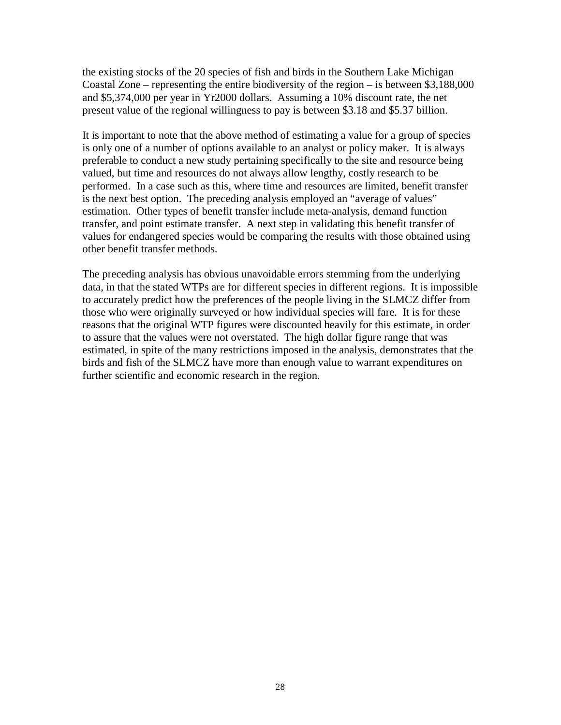the existing stocks of the 20 species of fish and birds in the Southern Lake Michigan Coastal Zone – representing the entire biodiversity of the region – is between \$3,188,000 and \$5,374,000 per year in Yr2000 dollars. Assuming a 10% discount rate, the net present value of the regional willingness to pay is between \$3.18 and \$5.37 billion.

It is important to note that the above method of estimating a value for a group of species is only one of a number of options available to an analyst or policy maker. It is always preferable to conduct a new study pertaining specifically to the site and resource being valued, but time and resources do not always allow lengthy, costly research to be performed. In a case such as this, where time and resources are limited, benefit transfer is the next best option. The preceding analysis employed an "average of values" estimation. Other types of benefit transfer include meta-analysis, demand function transfer, and point estimate transfer. A next step in validating this benefit transfer of values for endangered species would be comparing the results with those obtained using other benefit transfer methods.

The preceding analysis has obvious unavoidable errors stemming from the underlying data, in that the stated WTPs are for different species in different regions. It is impossible to accurately predict how the preferences of the people living in the SLMCZ differ from those who were originally surveyed or how individual species will fare. It is for these reasons that the original WTP figures were discounted heavily for this estimate, in order to assure that the values were not overstated. The high dollar figure range that was estimated, in spite of the many restrictions imposed in the analysis, demonstrates that the birds and fish of the SLMCZ have more than enough value to warrant expenditures on further scientific and economic research in the region.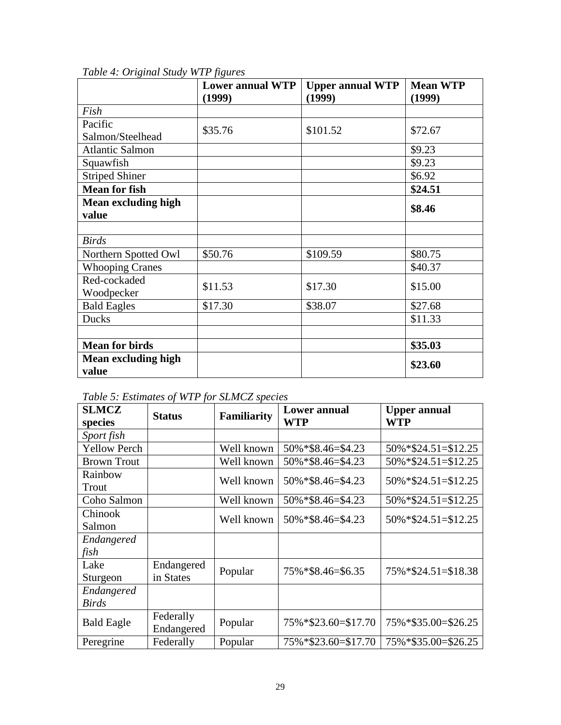|                                     | <u>J O</u><br><b>Lower annual WTP</b><br>(1999) | <b>Upper annual WTP</b><br>(1999) | <b>Mean WTP</b><br>(1999) |  |
|-------------------------------------|-------------------------------------------------|-----------------------------------|---------------------------|--|
| Fish                                |                                                 |                                   |                           |  |
| Pacific                             | \$35.76                                         | \$101.52                          | \$72.67                   |  |
| Salmon/Steelhead                    |                                                 |                                   |                           |  |
| <b>Atlantic Salmon</b>              |                                                 |                                   | \$9.23                    |  |
| Squawfish                           |                                                 |                                   | \$9.23                    |  |
| <b>Striped Shiner</b>               |                                                 |                                   | \$6.92                    |  |
| Mean for fish                       |                                                 |                                   | \$24.51                   |  |
| Mean excluding high                 |                                                 |                                   | \$8.46                    |  |
| value                               |                                                 |                                   |                           |  |
|                                     |                                                 |                                   |                           |  |
| <b>Birds</b>                        |                                                 |                                   |                           |  |
| Northern Spotted Owl                | \$50.76                                         | \$109.59                          | \$80.75                   |  |
| <b>Whooping Cranes</b>              |                                                 |                                   | \$40.37                   |  |
| Red-cockaded                        | \$11.53                                         | \$17.30                           | \$15.00                   |  |
| Woodpecker                          |                                                 |                                   |                           |  |
| <b>Bald Eagles</b>                  | \$17.30                                         | \$38.07                           | \$27.68                   |  |
| <b>Ducks</b>                        |                                                 |                                   | \$11.33                   |  |
|                                     |                                                 |                                   |                           |  |
| <b>Mean for birds</b>               |                                                 |                                   | \$35.03                   |  |
| <b>Mean excluding high</b><br>value |                                                 |                                   | \$23.60                   |  |

*Table 4: Original Study WTP figures* 

*Table 5: Estimates of WTP for SLMCZ species* 

| <b>SLMCZ</b><br>species    | <b>Status</b>           | <b>Familiarity</b> | <b>Lower annual</b><br><b>WTP</b> | <b>Upper annual</b><br><b>WTP</b> |
|----------------------------|-------------------------|--------------------|-----------------------------------|-----------------------------------|
| Sport fish                 |                         |                    |                                   |                                   |
| <b>Yellow Perch</b>        |                         | Well known         | 50%*\$8.46=\$4.23                 | 50%*\$24.51=\$12.25               |
| <b>Brown Trout</b>         |                         | Well known         | 50%*\$8.46=\$4.23                 | 50%*\$24.51=\$12.25               |
| Rainbow<br>Trout           |                         | Well known         | 50%*\$8.46=\$4.23                 | 50%*\$24.51=\$12.25               |
| Coho Salmon                |                         | Well known         | 50%*\$8.46=\$4.23                 | 50%*\$24.51=\$12.25               |
| Chinook<br>Salmon          |                         | Well known         | 50%*\$8.46=\$4.23                 | 50%*\$24.51=\$12.25               |
| Endangered<br>fish         |                         |                    |                                   |                                   |
| Lake<br>Sturgeon           | Endangered<br>in States | Popular            | 75%*\$8.46=\$6.35                 | 75%*\$24.51=\$18.38               |
| Endangered<br><b>Birds</b> |                         |                    |                                   |                                   |
| <b>Bald Eagle</b>          | Federally<br>Endangered | Popular            | 75%*\$23.60=\$17.70               | 75%*\$35.00=\$26.25               |
| Peregrine                  | Federally               | Popular            | 75%*\$23.60=\$17.70               | 75%*\$35.00=\$26.25               |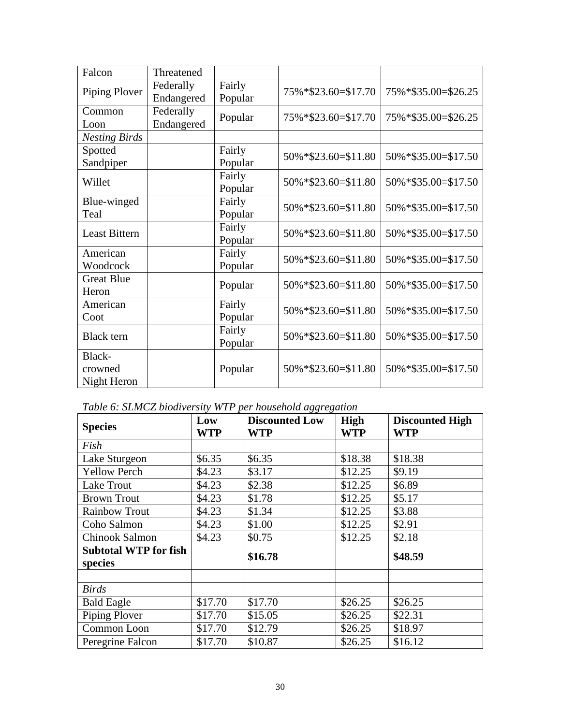| Falcon                           | Threatened              |                   |                     |                     |
|----------------------------------|-------------------------|-------------------|---------------------|---------------------|
| Piping Plover                    | Federally<br>Endangered | Fairly<br>Popular | 75%*\$23.60=\$17.70 | 75%*\$35.00=\$26.25 |
| Common<br>Loon                   | Federally<br>Endangered | Popular           | 75%*\$23.60=\$17.70 | 75%*\$35.00=\$26.25 |
| <b>Nesting Birds</b>             |                         |                   |                     |                     |
| Spotted<br>Sandpiper             |                         | Fairly<br>Popular | 50%*\$23.60=\$11.80 | 50%*\$35.00=\$17.50 |
| Willet                           |                         | Fairly<br>Popular | 50%*\$23.60=\$11.80 | 50%*\$35.00=\$17.50 |
| Blue-winged<br>Teal              |                         | Fairly<br>Popular | 50%*\$23.60=\$11.80 | 50%*\$35.00=\$17.50 |
| <b>Least Bittern</b>             |                         | Fairly<br>Popular | 50%*\$23.60=\$11.80 | 50%*\$35.00=\$17.50 |
| American<br>Woodcock             |                         | Fairly<br>Popular | 50%*\$23.60=\$11.80 | 50%*\$35.00=\$17.50 |
| <b>Great Blue</b><br>Heron       |                         | Popular           | 50%*\$23.60=\$11.80 | 50%*\$35.00=\$17.50 |
| American<br>Coot                 |                         | Fairly<br>Popular | 50%*\$23.60=\$11.80 | 50%*\$35.00=\$17.50 |
| <b>Black</b> tern                |                         | Fairly<br>Popular | 50%*\$23.60=\$11.80 | 50%*\$35.00=\$17.50 |
| Black-<br>crowned<br>Night Heron |                         | Popular           | 50%*\$23.60=\$11.80 | 50%*\$35.00=\$17.50 |

*Table 6: SLMCZ biodiversity WTP per household aggregation* 

| <b>Species</b>                          | Low<br><b>WTP</b> | $\sigma$ $\sigma$<br><b>Discounted Low</b><br><b>WTP</b> | <b>High</b><br><b>WTP</b> | <b>Discounted High</b><br><b>WTP</b> |
|-----------------------------------------|-------------------|----------------------------------------------------------|---------------------------|--------------------------------------|
| Fish                                    |                   |                                                          |                           |                                      |
| Lake Sturgeon                           | \$6.35            | \$6.35                                                   | \$18.38                   | \$18.38                              |
| <b>Yellow Perch</b>                     | \$4.23            | \$3.17                                                   | \$12.25                   | \$9.19                               |
| Lake Trout                              | \$4.23            | \$2.38                                                   | \$12.25                   | \$6.89                               |
| <b>Brown Trout</b>                      | \$4.23            | \$1.78                                                   | \$12.25                   | \$5.17                               |
| <b>Rainbow Trout</b>                    | \$4.23            | \$1.34                                                   | \$12.25                   | \$3.88                               |
| Coho Salmon                             | \$4.23            | \$1.00                                                   | \$12.25                   | \$2.91                               |
| Chinook Salmon                          | \$4.23            | \$0.75                                                   | \$12.25                   | \$2.18                               |
| <b>Subtotal WTP for fish</b><br>species |                   | \$16.78                                                  |                           | \$48.59                              |
|                                         |                   |                                                          |                           |                                      |
| <b>Birds</b>                            |                   |                                                          |                           |                                      |
| <b>Bald Eagle</b>                       | \$17.70           | \$17.70                                                  | \$26.25                   | \$26.25                              |
| Piping Plover                           | \$17.70           | \$15.05                                                  | \$26.25                   | \$22.31                              |
| Common Loon                             | \$17.70           | \$12.79                                                  | \$26.25                   | \$18.97                              |
| Peregrine Falcon                        | \$17.70           | \$10.87                                                  | \$26.25                   | \$16.12                              |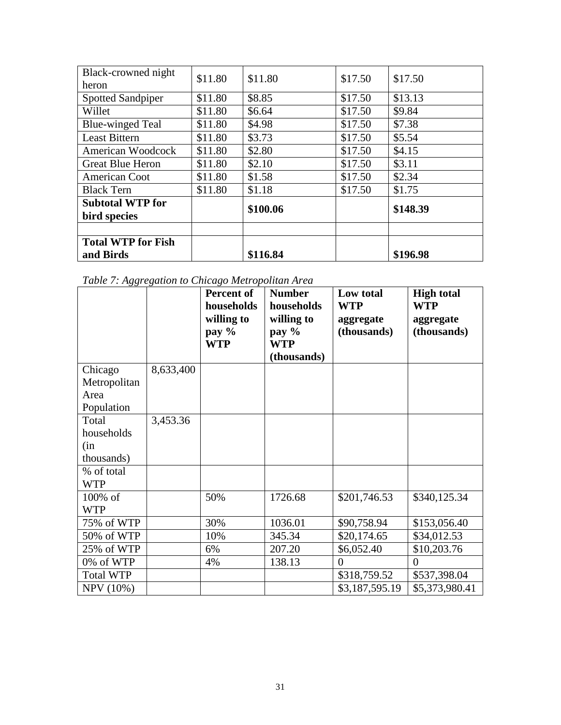| Black-crowned night       | \$11.80 | \$11.80  | \$17.50 | \$17.50  |
|---------------------------|---------|----------|---------|----------|
| heron                     |         |          |         |          |
| <b>Spotted Sandpiper</b>  | \$11.80 | \$8.85   | \$17.50 | \$13.13  |
| Willet                    | \$11.80 | \$6.64   | \$17.50 | \$9.84   |
| <b>Blue-winged Teal</b>   | \$11.80 | \$4.98   | \$17.50 | \$7.38   |
| <b>Least Bittern</b>      | \$11.80 | \$3.73   | \$17.50 | \$5.54   |
| American Woodcock         | \$11.80 | \$2.80   | \$17.50 | \$4.15   |
| <b>Great Blue Heron</b>   | \$11.80 | \$2.10   | \$17.50 | \$3.11   |
| American Coot             | \$11.80 | \$1.58   | \$17.50 | \$2.34   |
| <b>Black Tern</b>         | \$11.80 | \$1.18   | \$17.50 | \$1.75   |
| <b>Subtotal WTP for</b>   |         | \$100.06 |         | \$148.39 |
| bird species              |         |          |         |          |
|                           |         |          |         |          |
| <b>Total WTP for Fish</b> |         |          |         |          |
| and Birds                 |         | \$116.84 |         | \$196.98 |

*Table 7: Aggregation to Chicago Metropolitan Area* 

|                          |           | Percent of<br>households<br>willing to<br>pay $\%$<br><b>WTP</b> | <b>Number</b><br>households<br>willing to<br>pay $\%$<br><b>WTP</b><br>(thousands) | Low total<br><b>WTP</b><br>aggregate<br>(thousands) | <b>High total</b><br><b>WTP</b><br>aggregate<br>(thousands) |
|--------------------------|-----------|------------------------------------------------------------------|------------------------------------------------------------------------------------|-----------------------------------------------------|-------------------------------------------------------------|
| Chicago                  | 8,633,400 |                                                                  |                                                                                    |                                                     |                                                             |
| Metropolitan             |           |                                                                  |                                                                                    |                                                     |                                                             |
| Area                     |           |                                                                  |                                                                                    |                                                     |                                                             |
| Population               |           |                                                                  |                                                                                    |                                                     |                                                             |
| Total                    | 3,453.36  |                                                                  |                                                                                    |                                                     |                                                             |
| households               |           |                                                                  |                                                                                    |                                                     |                                                             |
| (in                      |           |                                                                  |                                                                                    |                                                     |                                                             |
| thousands)               |           |                                                                  |                                                                                    |                                                     |                                                             |
| % of total<br><b>WTP</b> |           |                                                                  |                                                                                    |                                                     |                                                             |
| 100% of<br><b>WTP</b>    |           | 50%                                                              | 1726.68                                                                            | \$201,746.53                                        | \$340,125.34                                                |
| 75% of WTP               |           | 30%                                                              | 1036.01                                                                            | \$90,758.94                                         | \$153,056.40                                                |
| 50% of WTP               |           | 10%                                                              | 345.34                                                                             | \$20,174.65                                         | \$34,012.53                                                 |
| 25% of WTP               |           | 6%                                                               | 207.20                                                                             | \$6,052.40                                          | \$10,203.76                                                 |
| 0% of WTP                |           | 4%                                                               | 138.13                                                                             | $\theta$                                            | $\Omega$                                                    |
| <b>Total WTP</b>         |           |                                                                  |                                                                                    | \$318,759.52                                        | \$537,398.04                                                |
| <b>NPV</b> (10%)         |           |                                                                  |                                                                                    | \$3,187,595.19                                      | \$5,373,980.41                                              |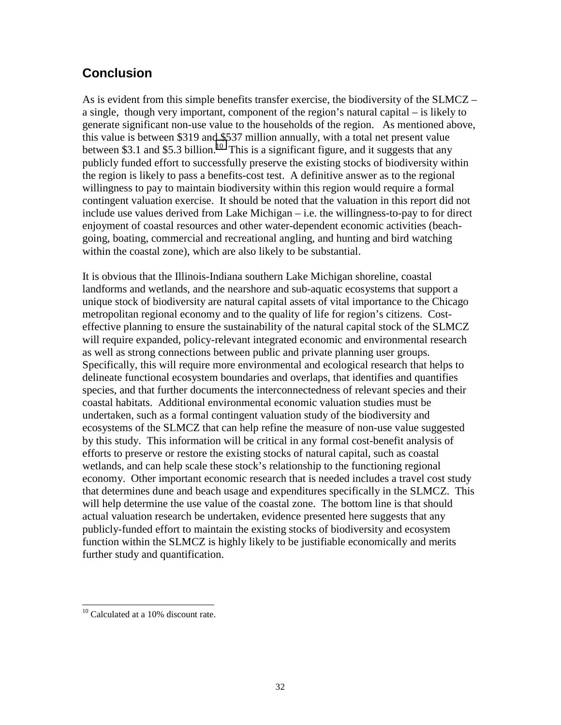# **Conclusion**

As is evident from this simple benefits transfer exercise, the biodiversity of the SLMCZ – a single, though very important, component of the region's natural capital – is likely to generate significant non-use value to the households of the region. As mentioned above, this value is between \$319 and \$537 million annually, with a total net present value between \$3.1 and \$5.3 billion.<sup>10</sup> This is a significant figure, and it suggests that any publicly funded effort to successfully preserve the existing stocks of biodiversity within the region is likely to pass a benefits-cost test. A definitive answer as to the regional willingness to pay to maintain biodiversity within this region would require a formal contingent valuation exercise. It should be noted that the valuation in this report did not include use values derived from Lake Michigan – i.e. the willingness-to-pay to for direct enjoyment of coastal resources and other water-dependent economic activities (beachgoing, boating, commercial and recreational angling, and hunting and bird watching within the coastal zone), which are also likely to be substantial.

It is obvious that the Illinois-Indiana southern Lake Michigan shoreline, coastal landforms and wetlands, and the nearshore and sub-aquatic ecosystems that support a unique stock of biodiversity are natural capital assets of vital importance to the Chicago metropolitan regional economy and to the quality of life for region's citizens. Costeffective planning to ensure the sustainability of the natural capital stock of the SLMCZ will require expanded, policy-relevant integrated economic and environmental research as well as strong connections between public and private planning user groups. Specifically, this will require more environmental and ecological research that helps to delineate functional ecosystem boundaries and overlaps, that identifies and quantifies species, and that further documents the interconnectedness of relevant species and their coastal habitats. Additional environmental economic valuation studies must be undertaken, such as a formal contingent valuation study of the biodiversity and ecosystems of the SLMCZ that can help refine the measure of non-use value suggested by this study. This information will be critical in any formal cost-benefit analysis of efforts to preserve or restore the existing stocks of natural capital, such as coastal wetlands, and can help scale these stock's relationship to the functioning regional economy. Other important economic research that is needed includes a travel cost study that determines dune and beach usage and expenditures specifically in the SLMCZ. This will help determine the use value of the coastal zone. The bottom line is that should actual valuation research be undertaken, evidence presented here suggests that any publicly-funded effort to maintain the existing stocks of biodiversity and ecosystem function within the SLMCZ is highly likely to be justifiable economically and merits further study and quantification.

l  $10$  Calculated at a 10% discount rate.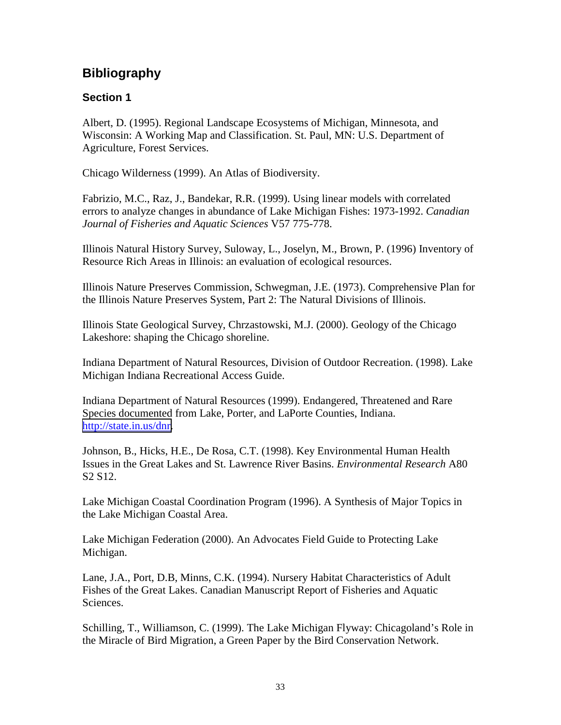# **Bibliography**

# **Section 1**

Albert, D. (1995). Regional Landscape Ecosystems of Michigan, Minnesota, and Wisconsin: A Working Map and Classification. St. Paul, MN: U.S. Department of Agriculture, Forest Services.

Chicago Wilderness (1999). An Atlas of Biodiversity.

Fabrizio, M.C., Raz, J., Bandekar, R.R. (1999). Using linear models with correlated errors to analyze changes in abundance of Lake Michigan Fishes: 1973-1992. *Canadian Journal of Fisheries and Aquatic Sciences* V57 775-778.

Illinois Natural History Survey, Suloway, L., Joselyn, M., Brown, P. (1996) Inventory of Resource Rich Areas in Illinois: an evaluation of ecological resources.

Illinois Nature Preserves Commission, Schwegman, J.E. (1973). Comprehensive Plan for the Illinois Nature Preserves System, Part 2: The Natural Divisions of Illinois.

Illinois State Geological Survey, Chrzastowski, M.J. (2000). Geology of the Chicago Lakeshore: shaping the Chicago shoreline.

Indiana Department of Natural Resources, Division of Outdoor Recreation. (1998). Lake Michigan Indiana Recreational Access Guide.

Indiana Department of Natural Resources (1999). Endangered, Threatened and Rare Species documented from Lake, Porter, and LaPorte Counties, Indiana. [http://state.in.us/dnr.](http://state.in.us/dnr)

Johnson, B., Hicks, H.E., De Rosa, C.T. (1998). Key Environmental Human Health Issues in the Great Lakes and St. Lawrence River Basins. *Environmental Research* A80 S2 S12.

Lake Michigan Coastal Coordination Program (1996). A Synthesis of Major Topics in the Lake Michigan Coastal Area.

Lake Michigan Federation (2000). An Advocates Field Guide to Protecting Lake Michigan.

Lane, J.A., Port, D.B, Minns, C.K. (1994). Nursery Habitat Characteristics of Adult Fishes of the Great Lakes. Canadian Manuscript Report of Fisheries and Aquatic Sciences.

Schilling, T., Williamson, C. (1999). The Lake Michigan Flyway: Chicagoland's Role in the Miracle of Bird Migration, a Green Paper by the Bird Conservation Network.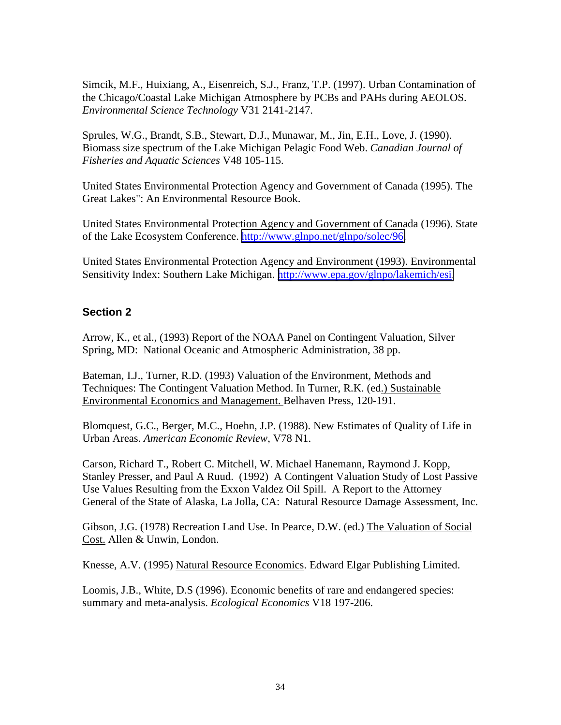Simcik, M.F., Huixiang, A., Eisenreich, S.J., Franz, T.P. (1997). Urban Contamination of the Chicago/Coastal Lake Michigan Atmosphere by PCBs and PAHs during AEOLOS. *Environmental Science Technology* V31 2141-2147.

Sprules, W.G., Brandt, S.B., Stewart, D.J., Munawar, M., Jin, E.H., Love, J. (1990). Biomass size spectrum of the Lake Michigan Pelagic Food Web. *Canadian Journal of Fisheries and Aquatic Sciences* V48 105-115.

United States Environmental Protection Agency and Government of Canada (1995). The Great Lakes": An Environmental Resource Book.

United States Environmental Protection Agency and Government of Canada (1996). State of the Lake Ecosystem Conference. [http://www.glnpo.net/glnpo/solec/96.](http://www.glnpo.net/glnpo/solec/96)

United States Environmental Protection Agency and Environment (1993). Environmental Sensitivity Index: Southern Lake Michigan. [http://www.epa.gov/glnpo/lakemich/esi.](http://www.epa.gov/glnpo/lakemich/esi)

## **Section 2**

Arrow, K., et al., (1993) Report of the NOAA Panel on Contingent Valuation, Silver Spring, MD: National Oceanic and Atmospheric Administration, 38 pp.

Bateman, I.J., Turner, R.D. (1993) Valuation of the Environment, Methods and Techniques: The Contingent Valuation Method. In Turner, R.K. (ed.) Sustainable Environmental Economics and Management. Belhaven Press, 120-191.

Blomquest, G.C., Berger, M.C., Hoehn, J.P. (1988). New Estimates of Quality of Life in Urban Areas. *American Economic Review*, V78 N1.

Carson, Richard T., Robert C. Mitchell, W. Michael Hanemann, Raymond J. Kopp, Stanley Presser, and Paul A Ruud. (1992) A Contingent Valuation Study of Lost Passive Use Values Resulting from the Exxon Valdez Oil Spill. A Report to the Attorney General of the State of Alaska, La Jolla, CA: Natural Resource Damage Assessment, Inc.

Gibson, J.G. (1978) Recreation Land Use. In Pearce, D.W. (ed.) The Valuation of Social Cost. Allen & Unwin, London.

Knesse, A.V. (1995) Natural Resource Economics. Edward Elgar Publishing Limited.

Loomis, J.B., White, D.S (1996). Economic benefits of rare and endangered species: summary and meta-analysis. *Ecological Economics* V18 197-206.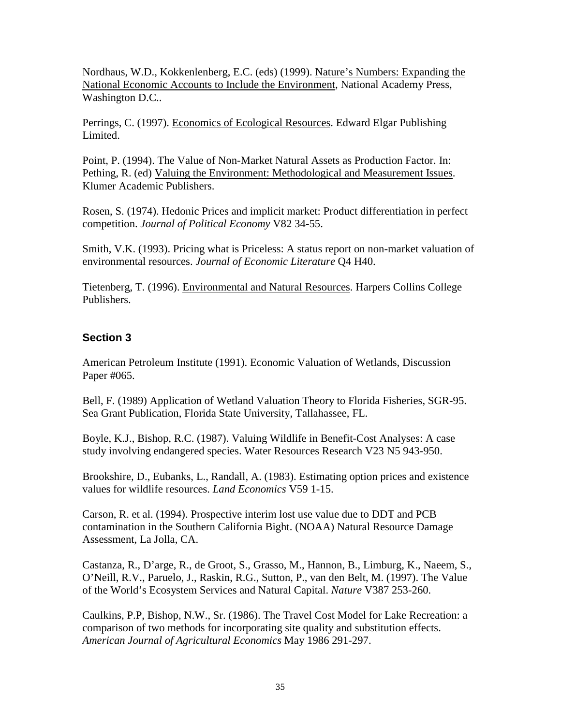Nordhaus, W.D., Kokkenlenberg, E.C. (eds) (1999). Nature's Numbers: Expanding the National Economic Accounts to Include the Environment, National Academy Press, Washington D.C..

Perrings, C. (1997). Economics of Ecological Resources. Edward Elgar Publishing Limited.

Point, P. (1994). The Value of Non-Market Natural Assets as Production Factor. In: Pething, R. (ed) Valuing the Environment: Methodological and Measurement Issues. Klumer Academic Publishers.

Rosen, S. (1974). Hedonic Prices and implicit market: Product differentiation in perfect competition. *Journal of Political Economy* V82 34-55.

Smith, V.K. (1993). Pricing what is Priceless: A status report on non-market valuation of environmental resources. *Journal of Economic Literature* Q4 H40.

Tietenberg, T. (1996). Environmental and Natural Resources. Harpers Collins College Publishers.

## **Section 3**

American Petroleum Institute (1991). Economic Valuation of Wetlands, Discussion Paper #065.

Bell, F. (1989) Application of Wetland Valuation Theory to Florida Fisheries, SGR-95. Sea Grant Publication, Florida State University, Tallahassee, FL.

Boyle, K.J., Bishop, R.C. (1987). Valuing Wildlife in Benefit-Cost Analyses: A case study involving endangered species. Water Resources Research V23 N5 943-950.

Brookshire, D., Eubanks, L., Randall, A. (1983). Estimating option prices and existence values for wildlife resources. *Land Economics* V59 1-15.

Carson, R. et al. (1994). Prospective interim lost use value due to DDT and PCB contamination in the Southern California Bight. (NOAA) Natural Resource Damage Assessment, La Jolla, CA.

Castanza, R., D'arge, R., de Groot, S., Grasso, M., Hannon, B., Limburg, K., Naeem, S., O'Neill, R.V., Paruelo, J., Raskin, R.G., Sutton, P., van den Belt, M. (1997). The Value of the World's Ecosystem Services and Natural Capital. *Nature* V387 253-260.

Caulkins, P.P, Bishop, N.W., Sr. (1986). The Travel Cost Model for Lake Recreation: a comparison of two methods for incorporating site quality and substitution effects. *American Journal of Agricultural Economics* May 1986 291-297.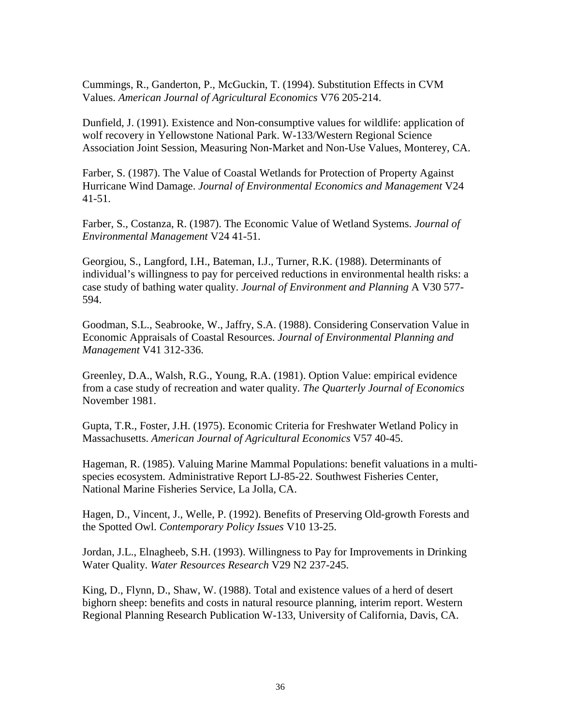Cummings, R., Ganderton, P., McGuckin, T. (1994). Substitution Effects in CVM Values. *American Journal of Agricultural Economics* V76 205-214.

Dunfield, J. (1991). Existence and Non-consumptive values for wildlife: application of wolf recovery in Yellowstone National Park. W-133/Western Regional Science Association Joint Session, Measuring Non-Market and Non-Use Values, Monterey, CA.

Farber, S. (1987). The Value of Coastal Wetlands for Protection of Property Against Hurricane Wind Damage. *Journal of Environmental Economics and Management* V24 41-51.

Farber, S., Costanza, R. (1987). The Economic Value of Wetland Systems. *Journal of Environmental Management* V24 41-51.

Georgiou, S., Langford, I.H., Bateman, I.J., Turner, R.K. (1988). Determinants of individual's willingness to pay for perceived reductions in environmental health risks: a case study of bathing water quality. *Journal of Environment and Planning* A V30 577- 594.

Goodman, S.L., Seabrooke, W., Jaffry, S.A. (1988). Considering Conservation Value in Economic Appraisals of Coastal Resources. *Journal of Environmental Planning and Management* V41 312-336.

Greenley, D.A., Walsh, R.G., Young, R.A. (1981). Option Value: empirical evidence from a case study of recreation and water quality. *The Quarterly Journal of Economics* November 1981.

Gupta, T.R., Foster, J.H. (1975). Economic Criteria for Freshwater Wetland Policy in Massachusetts. *American Journal of Agricultural Economics* V57 40-45.

Hageman, R. (1985). Valuing Marine Mammal Populations: benefit valuations in a multispecies ecosystem. Administrative Report LJ-85-22. Southwest Fisheries Center, National Marine Fisheries Service, La Jolla, CA.

Hagen, D., Vincent, J., Welle, P. (1992). Benefits of Preserving Old-growth Forests and the Spotted Owl. *Contemporary Policy Issues* V10 13-25.

Jordan, J.L., Elnagheeb, S.H. (1993). Willingness to Pay for Improvements in Drinking Water Quality. *Water Resources Research* V29 N2 237-245.

King, D., Flynn, D., Shaw, W. (1988). Total and existence values of a herd of desert bighorn sheep: benefits and costs in natural resource planning, interim report. Western Regional Planning Research Publication W-133, University of California, Davis, CA.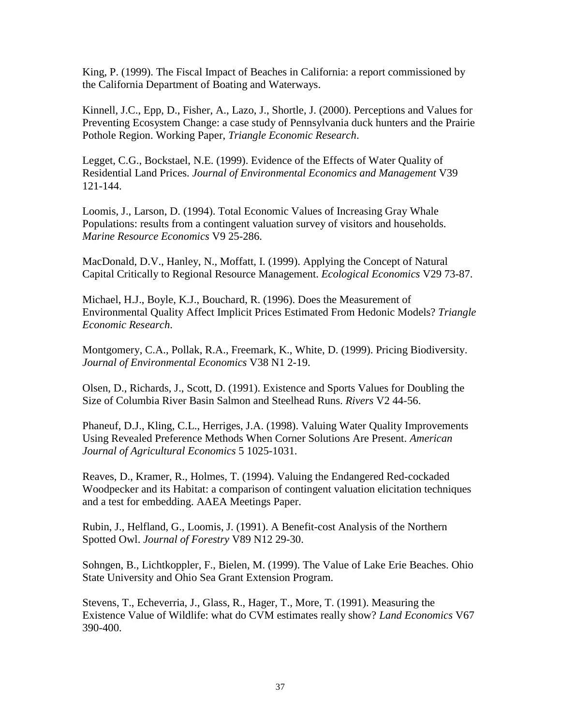King, P. (1999). The Fiscal Impact of Beaches in California: a report commissioned by the California Department of Boating and Waterways.

Kinnell, J.C., Epp, D., Fisher, A., Lazo, J., Shortle, J. (2000). Perceptions and Values for Preventing Ecosystem Change: a case study of Pennsylvania duck hunters and the Prairie Pothole Region. Working Paper, *Triangle Economic Research*.

Legget, C.G., Bockstael, N.E. (1999). Evidence of the Effects of Water Quality of Residential Land Prices. *Journal of Environmental Economics and Management* V39 121-144.

Loomis, J., Larson, D. (1994). Total Economic Values of Increasing Gray Whale Populations: results from a contingent valuation survey of visitors and households. *Marine Resource Economics* V9 25-286.

MacDonald, D.V., Hanley, N., Moffatt, I. (1999). Applying the Concept of Natural Capital Critically to Regional Resource Management. *Ecological Economics* V29 73-87.

Michael, H.J., Boyle, K.J., Bouchard, R. (1996). Does the Measurement of Environmental Quality Affect Implicit Prices Estimated From Hedonic Models? *Triangle Economic Research*.

Montgomery, C.A., Pollak, R.A., Freemark, K., White, D. (1999). Pricing Biodiversity. *Journal of Environmental Economics* V38 N1 2-19.

Olsen, D., Richards, J., Scott, D. (1991). Existence and Sports Values for Doubling the Size of Columbia River Basin Salmon and Steelhead Runs. *Rivers* V2 44-56.

Phaneuf, D.J., Kling, C.L., Herriges, J.A. (1998). Valuing Water Quality Improvements Using Revealed Preference Methods When Corner Solutions Are Present. *American Journal of Agricultural Economics* 5 1025-1031.

Reaves, D., Kramer, R., Holmes, T. (1994). Valuing the Endangered Red-cockaded Woodpecker and its Habitat: a comparison of contingent valuation elicitation techniques and a test for embedding. AAEA Meetings Paper.

Rubin, J., Helfland, G., Loomis, J. (1991). A Benefit-cost Analysis of the Northern Spotted Owl. *Journal of Forestry* V89 N12 29-30.

Sohngen, B., Lichtkoppler, F., Bielen, M. (1999). The Value of Lake Erie Beaches. Ohio State University and Ohio Sea Grant Extension Program.

Stevens, T., Echeverria, J., Glass, R., Hager, T., More, T. (1991). Measuring the Existence Value of Wildlife: what do CVM estimates really show? *Land Economics* V67 390-400.